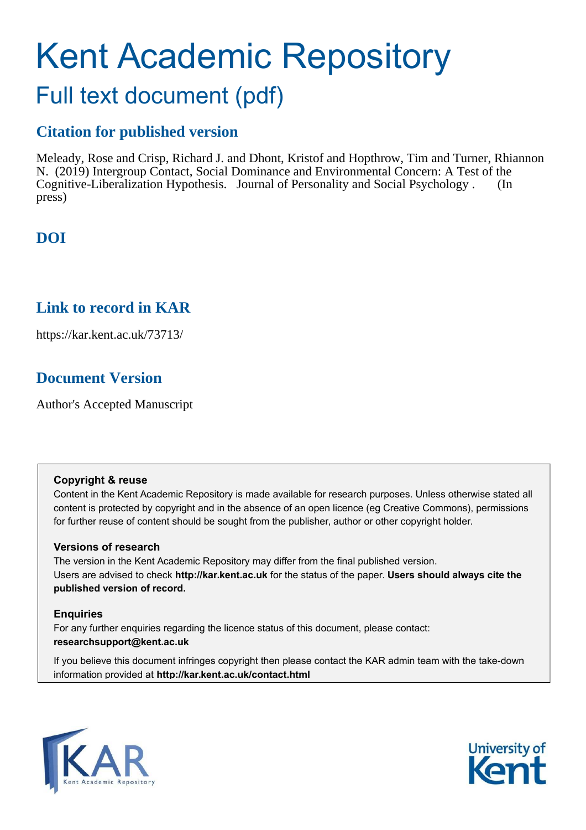# Kent Academic Repository

## Full text document (pdf)

## **Citation for published version**

Meleady, Rose and Crisp, Richard J. and Dhont, Kristof and Hopthrow, Tim and Turner, Rhiannon N. (2019) Intergroup Contact, Social Dominance and Environmental Concern: A Test of the Cognitive-Liberalization Hypothesis. Journal of Personality and Social Psychology . (In press)

## **DOI**

## **Link to record in KAR**

https://kar.kent.ac.uk/73713/

## **Document Version**

Author's Accepted Manuscript

#### **Copyright & reuse**

Content in the Kent Academic Repository is made available for research purposes. Unless otherwise stated all content is protected by copyright and in the absence of an open licence (eg Creative Commons), permissions for further reuse of content should be sought from the publisher, author or other copyright holder.

#### **Versions of research**

The version in the Kent Academic Repository may differ from the final published version. Users are advised to check **http://kar.kent.ac.uk** for the status of the paper. **Users should always cite the published version of record.**

#### **Enquiries**

For any further enquiries regarding the licence status of this document, please contact: **researchsupport@kent.ac.uk**

If you believe this document infringes copyright then please contact the KAR admin team with the take-down information provided at **http://kar.kent.ac.uk/contact.html**



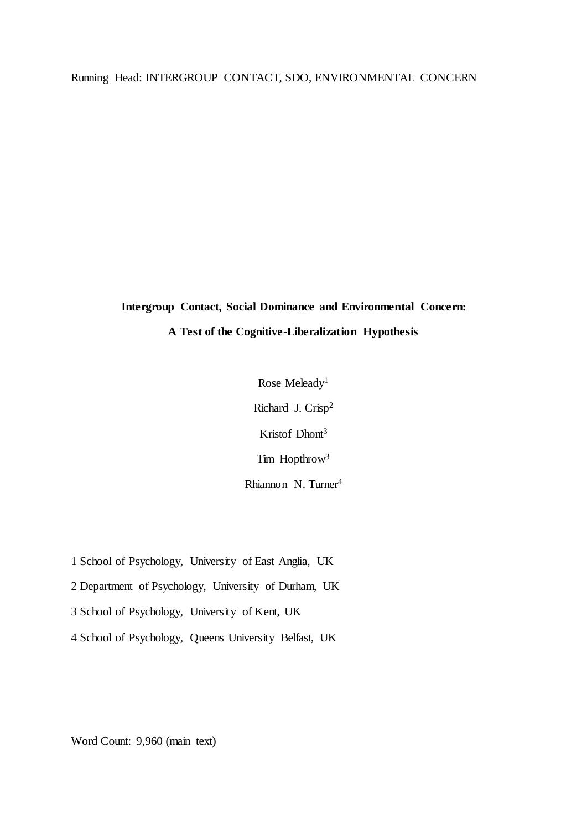#### Running Head: INTERGROUP CONTACT, SDO, ENVIRONMENTAL CONCERN

## **Intergroup Contact, Social Dominance and Environmental Concern: A Test of the Cognitive-Liberalization Hypothesis**

Rose Meleady<sup>1</sup> Richard J. Crisp<sup>2</sup> Kristof Dhont<sup>3</sup> Tim Hopthrow<sup>3</sup> Rhiannon N. Turner<sup>4</sup>

1 School of Psychology, University of East Anglia, UK

2 Department of Psychology, University of Durham, UK

3 School of Psychology, University of Kent, UK

4 School of Psychology, Queens University Belfast, UK

Word Count: 9,960 (main text)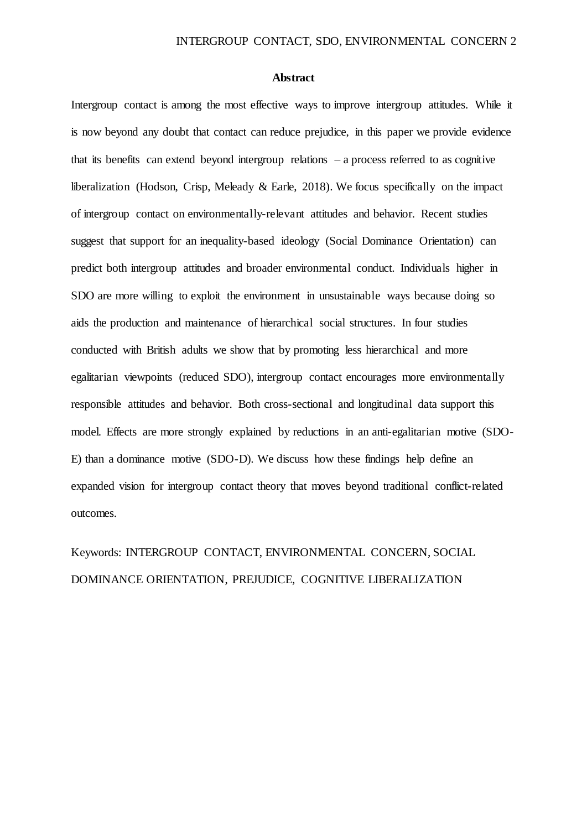#### **Abstract**

Intergroup contact is among the most effective ways to improve intergroup attitudes. While it is now beyond any doubt that contact can reduce prejudice, in this paper we provide evidence that its benefits can extend beyond intergroup relations – a process referred to as cognitive liberalization (Hodson, Crisp, Meleady & Earle, 2018). We focus specifically on the impact of intergroup contact on environmentally-relevant attitudes and behavior. Recent studies suggest that support for an inequality-based ideology (Social Dominance Orientation) can predict both intergroup attitudes and broader environmental conduct. Individuals higher in SDO are more willing to exploit the environment in unsustainable ways because doing so aids the production and maintenance of hierarchical social structures. In four studies conducted with British adults we show that by promoting less hierarchical and more egalitarian viewpoints (reduced SDO), intergroup contact encourages more environmentally responsible attitudes and behavior. Both cross-sectional and longitudinal data support this model. Effects are more strongly explained by reductions in an anti-egalitarian motive (SDO-E) than a dominance motive (SDO-D). We discuss how these findings help define an expanded vision for intergroup contact theory that moves beyond traditional conflict-related outcomes.

## Keywords: INTERGROUP CONTACT, ENVIRONMENTAL CONCERN, SOCIAL DOMINANCE ORIENTATION, PREJUDICE, COGNITIVE LIBERALIZATION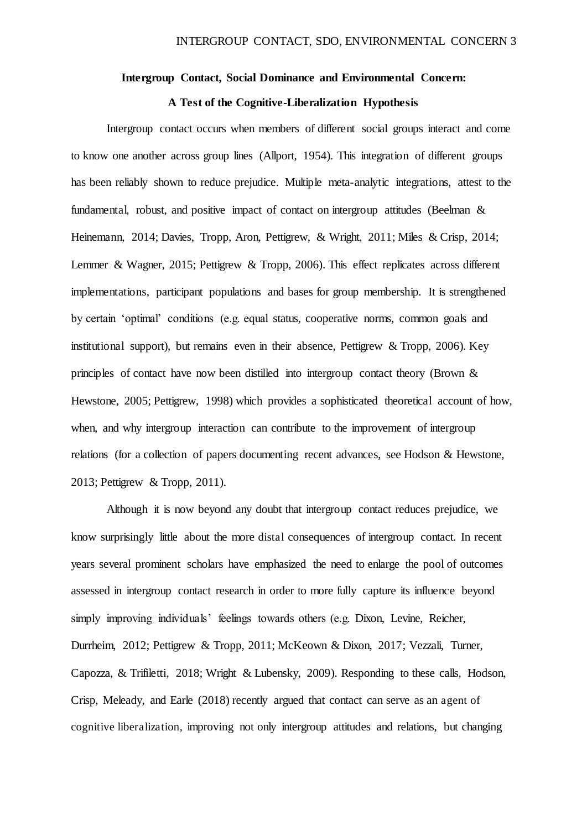#### **Intergroup Contact, Social Dominance and Environmental Concern:**

#### **A Test of the Cognitive-Liberalization Hypothesis**

Intergroup contact occurs when members of different social groups interact and come to know one another across group lines (Allport, 1954). This integration of different groups has been reliably shown to reduce prejudice. Multiple meta-analytic integrations, attest to the fundamental, robust, and positive impact of contact on intergroup attitudes (Beelman & Heinemann, 2014; Davies, Tropp, Aron, Pettigrew, & Wright, 2011; Miles & Crisp, 2014; Lemmer & Wagner, 2015; Pettigrew & Tropp, 2006). This effect replicates across different implementations, participant populations and bases for group membership. It is strengthened by certain 'optimal' conditions (e.g. equal status, cooperative norms, common goals and institutional support), but remains even in their absence, Pettigrew & Tropp, 2006). Key principles of contact have now been distilled into intergroup contact theory (Brown & Hewstone, 2005; Pettigrew, 1998) which provides a sophisticated theoretical account of how, when, and why intergroup interaction can contribute to the improvement of intergroup relations (for a collection of papers documenting recent advances, see Hodson & Hewstone, 2013; Pettigrew & Tropp, 2011).

Although it is now beyond any doubt that intergroup contact reduces prejudice, we know surprisingly little about the more distal consequences of intergroup contact. In recent years several prominent scholars have emphasized the need to enlarge the pool of outcomes assessed in intergroup contact research in order to more fully capture its influence beyond simply improving individuals' feelings towards others (e.g. Dixon, Levine, Reicher, Durrheim, 2012; Pettigrew & Tropp, 2011; McKeown & Dixon, 2017; Vezzali, Turner, Capozza, & Trifiletti, 2018; Wright & Lubensky, 2009). Responding to these calls, Hodson, Crisp, Meleady, and Earle (2018) recently argued that contact can serve as an agent of cognitive liberalization, improving not only intergroup attitudes and relations, but changing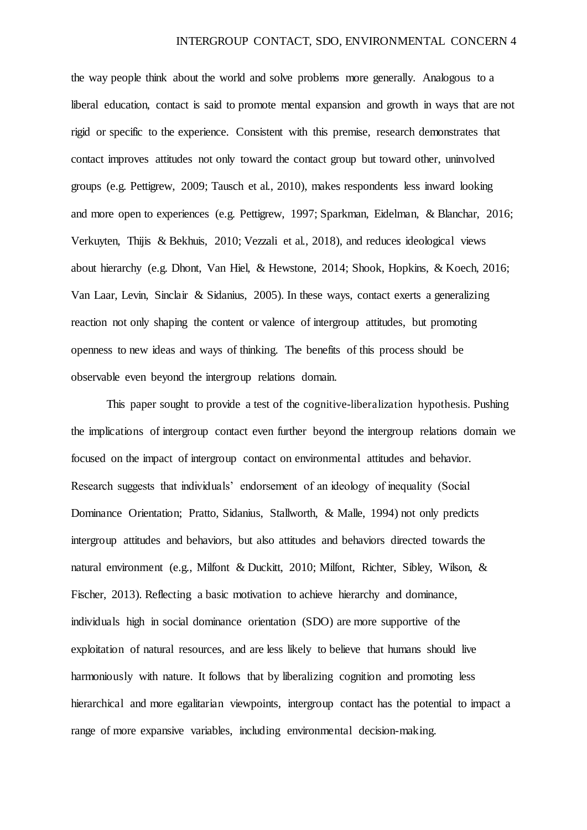the way people think about the world and solve problems more generally. Analogous to a liberal education, contact is said to promote mental expansion and growth in ways that are not rigid or specific to the experience. Consistent with this premise, research demonstrates that contact improves attitudes not only toward the contact group but toward other, uninvolved groups (e.g. Pettigrew, 2009; Tausch et al., 2010), makes respondents less inward looking and more open to experiences (e.g. Pettigrew, 1997; Sparkman, Eidelman, & Blanchar, 2016; Verkuyten, Thijis & Bekhuis, 2010; Vezzali et al., 2018), and reduces ideological views about hierarchy (e.g. Dhont, Van Hiel, & Hewstone, 2014; Shook, Hopkins, & Koech, 2016; Van Laar, Levin, Sinclair & Sidanius, 2005). In these ways, contact exerts a generalizing reaction not only shaping the content or valence of intergroup attitudes, but promoting openness to new ideas and ways of thinking. The benefits of this process should be observable even beyond the intergroup relations domain.

This paper sought to provide a test of the cognitive-liberalization hypothesis. Pushing the implications of intergroup contact even further beyond the intergroup relations domain we focused on the impact of intergroup contact on environmental attitudes and behavior. Research suggests that individuals' endorsement of an ideology of inequality (Social Dominance Orientation; Pratto, Sidanius, Stallworth, & Malle, 1994) not only predicts intergroup attitudes and behaviors, but also attitudes and behaviors directed towards the natural environment (e.g., Milfont & Duckitt, 2010; Milfont, Richter, Sibley, Wilson, & Fischer, 2013). Reflecting a basic motivation to achieve hierarchy and dominance, individuals high in social dominance orientation (SDO) are more supportive of the exploitation of natural resources, and are less likely to believe that humans should live harmoniously with nature. It follows that by liberalizing cognition and promoting less hierarchical and more egalitarian viewpoints, intergroup contact has the potential to impact a range of more expansive variables, including environmental decision-making.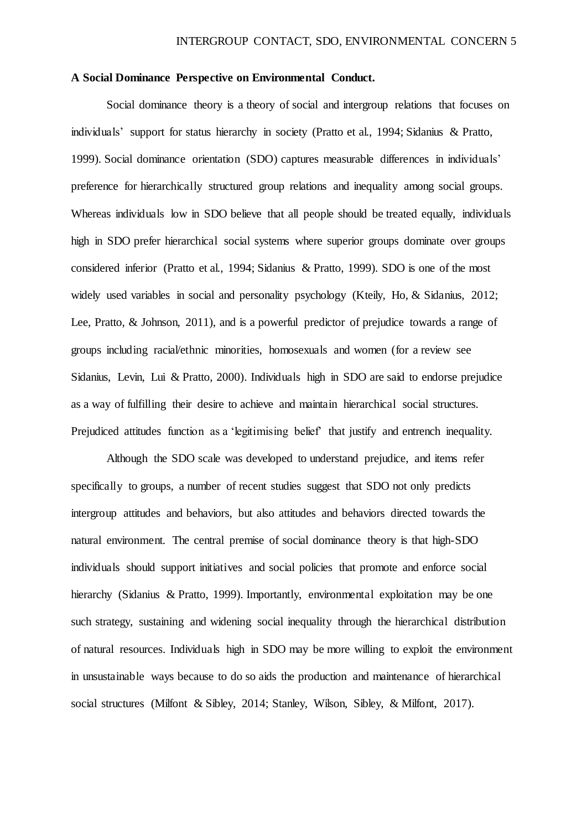#### **A Social Dominance Perspective on Environmental Conduct.**

Social dominance theory is a theory of social and intergroup relations that focuses on individuals' support for status hierarchy in society (Pratto et al., 1994; Sidanius & Pratto, 1999). Social dominance orientation (SDO) captures measurable differences in individuals' preference for hierarchically structured group relations and inequality among social groups. Whereas individuals low in SDO believe that all people should be treated equally, individuals high in SDO prefer hierarchical social systems where superior groups dominate over groups considered inferior (Pratto et al., 1994; Sidanius & Pratto, 1999). SDO is one of the most widely used variables in social and personality psychology (Kteily, Ho, & Sidanius, 2012; Lee, Pratto, & Johnson, 2011), and is a powerful predictor of prejudice towards a range of groups including racial/ethnic minorities, homosexuals and women (for a review see Sidanius, Levin, Lui & Pratto, 2000). Individuals high in SDO are said to endorse prejudice as a way of fulfilling their desire to achieve and maintain hierarchical social structures. Prejudiced attitudes function as a 'legitimising belief' that justify and entrench inequality.

Although the SDO scale was developed to understand prejudice, and items refer specifically to groups, a number of recent studies suggest that SDO not only predicts intergroup attitudes and behaviors, but also attitudes and behaviors directed towards the natural environment. The central premise of social dominance theory is that high-SDO individuals should support initiatives and social policies that promote and enforce social hierarchy (Sidanius & Pratto, 1999). Importantly, environmental exploitation may be one such strategy, sustaining and widening social inequality through the hierarchical distribution of natural resources. Individuals high in SDO may be more willing to exploit the environment in unsustainable ways because to do so aids the production and maintenance of hierarchical social structures (Milfont & Sibley, 2014; Stanley, Wilson, Sibley, & Milfont, 2017).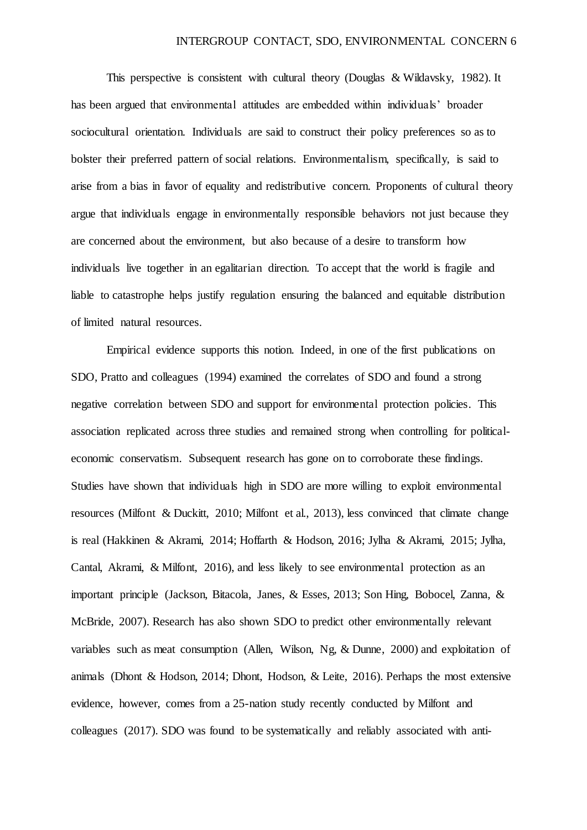This perspective is consistent with cultural theory (Douglas & Wildavsky, 1982). It has been argued that environmental attitudes are embedded within individuals' broader sociocultural orientation. Individuals are said to construct their policy preferences so as to bolster their preferred pattern of social relations. Environmentalism, specifically, is said to arise from a bias in favor of equality and redistributive concern. Proponents of cultural theory argue that individuals engage in environmentally responsible behaviors not just because they are concerned about the environment, but also because of a desire to transform how individuals live together in an egalitarian direction. To accept that the world is fragile and liable to catastrophe helps justify regulation ensuring the balanced and equitable distribution of limited natural resources.

Empirical evidence supports this notion. Indeed, in one of the first publications on SDO, Pratto and colleagues (1994) examined the correlates of SDO and found a strong negative correlation between SDO and support for environmental protection policies. This association replicated across three studies and remained strong when controlling for politicaleconomic conservatism. Subsequent research has gone on to corroborate these findings. Studies have shown that individuals high in SDO are more willing to exploit environmental resources (Milfont & Duckitt, 2010; Milfont et al., 2013), less convinced that climate change is real (Hakkinen & Akrami, 2014; Hoffarth & Hodson, 2016; Jylha & Akrami, 2015; Jylha, Cantal, Akrami, & Milfont, 2016), and less likely to see environmental protection as an important principle (Jackson, Bitacola, Janes, & Esses, 2013; Son Hing, Bobocel, Zanna, & McBride, 2007). Research has also shown SDO to predict other environmentally relevant variables such as meat consumption (Allen, Wilson, Ng, & Dunne, 2000) and exploitation of animals (Dhont & Hodson, 2014; Dhont, Hodson, & Leite, 2016). Perhaps the most extensive evidence, however, comes from a 25-nation study recently conducted by Milfont and colleagues (2017). SDO was found to be systematically and reliably associated with anti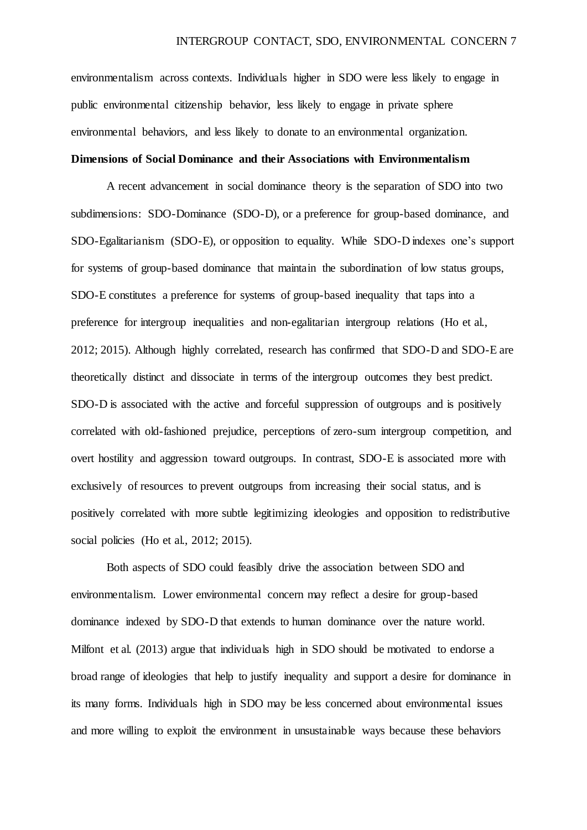environmentalism across contexts. Individuals higher in SDO were less likely to engage in public environmental citizenship behavior, less likely to engage in private sphere environmental behaviors, and less likely to donate to an environmental organization. **Dimensions of Social Dominance and their Associations with Environmentalism** 

A recent advancement in social dominance theory is the separation of SDO into two subdimensions: SDO-Dominance (SDO-D), or a preference for group-based dominance, and SDO-Egalitarianism (SDO-E), or opposition to equality. While SDO-D indexes one's support for systems of group-based dominance that maintain the subordination of low status groups, SDO-E constitutes a preference for systems of group-based inequality that taps into a preference for intergroup inequalities and non-egalitarian intergroup relations (Ho et al., 2012; 2015). Although highly correlated, research has confirmed that SDO-D and SDO-E are theoretically distinct and dissociate in terms of the intergroup outcomes they best predict. SDO-D is associated with the active and forceful suppression of outgroups and is positively correlated with old-fashioned prejudice, perceptions of zero-sum intergroup competition, and overt hostility and aggression toward outgroups. In contrast, SDO-E is associated more with exclusively of resources to prevent outgroups from increasing their social status, and is positively correlated with more subtle legitimizing ideologies and opposition to redistributive social policies (Ho et al., 2012; 2015).

Both aspects of SDO could feasibly drive the association between SDO and environmentalism. Lower environmental concern may reflect a desire for group-based dominance indexed by SDO-D that extends to human dominance over the nature world. Milfont et al. (2013) argue that individuals high in SDO should be motivated to endorse a broad range of ideologies that help to justify inequality and support a desire for dominance in its many forms. Individuals high in SDO may be less concerned about environmental issues and more willing to exploit the environment in unsustainable ways because these behaviors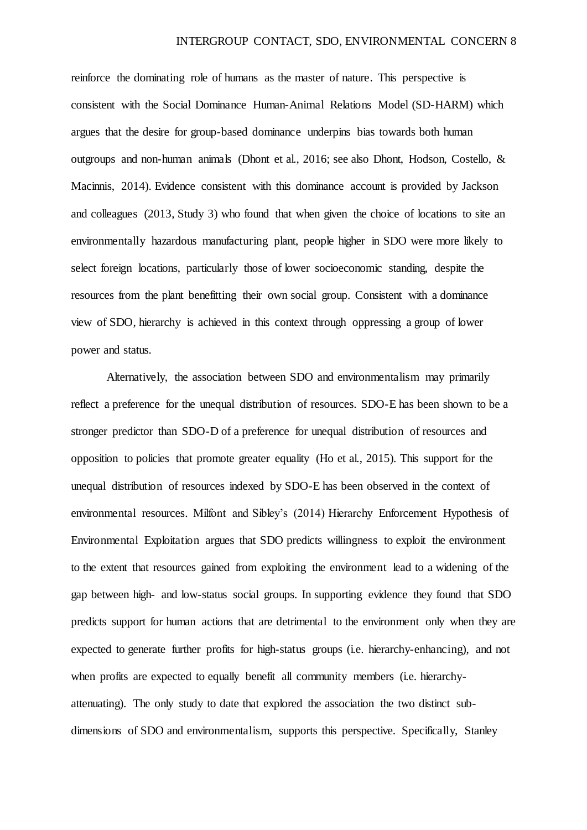reinforce the dominating role of humans as the master of nature. This perspective is consistent with the Social Dominance Human-Animal Relations Model (SD-HARM) which argues that the desire for group-based dominance underpins bias towards both human outgroups and non-human animals (Dhont et al., 2016; see also Dhont, Hodson, Costello, & Macinnis, 2014). Evidence consistent with this dominance account is provided by Jackson and colleagues (2013, Study 3) who found that when given the choice of locations to site an environmentally hazardous manufacturing plant, people higher in SDO were more likely to select foreign locations, particularly those of lower socioeconomic standing, despite the resources from the plant benefitting their own social group. Consistent with a dominance view of SDO, hierarchy is achieved in this context through oppressing a group of lower power and status.

Alternatively, the association between SDO and environmentalism may primarily reflect a preference for the unequal distribution of resources. SDO-E has been shown to be a stronger predictor than SDO-D of a preference for unequal distribution of resources and opposition to policies that promote greater equality (Ho et al., 2015). This support for the unequal distribution of resources indexed by SDO-E has been observed in the context of environmental resources. Milfont and Sibley's (2014) Hierarchy Enforcement Hypothesis of Environmental Exploitation argues that SDO predicts willingness to exploit the environment to the extent that resources gained from exploiting the environment lead to a widening of the gap between high- and low-status social groups. In supporting evidence they found that SDO predicts support for human actions that are detrimental to the environment only when they are expected to generate further profits for high-status groups (i.e. hierarchy-enhancing), and not when profits are expected to equally benefit all community members (i.e. hierarchyattenuating). The only study to date that explored the association the two distinct subdimensions of SDO and environmentalism, supports this perspective. Specifically, Stanley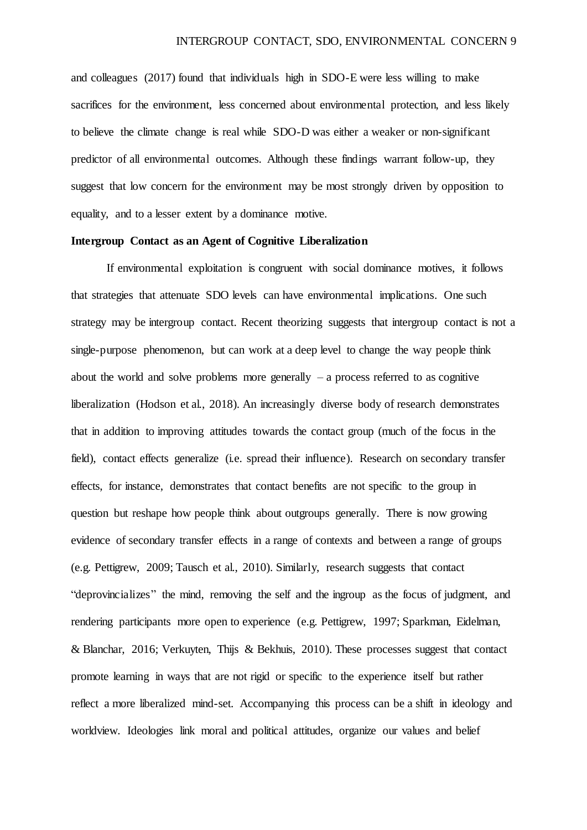and colleagues (2017) found that individuals high in SDO-E were less willing to make sacrifices for the environment, less concerned about environmental protection, and less likely to believe the climate change is real while SDO-D was either a weaker or non-significant predictor of all environmental outcomes. Although these findings warrant follow-up, they suggest that low concern for the environment may be most strongly driven by opposition to equality, and to a lesser extent by a dominance motive.

#### **Intergroup Contact as an Agent of Cognitive Liberalization**

If environmental exploitation is congruent with social dominance motives, it follows that strategies that attenuate SDO levels can have environmental implications. One such strategy may be intergroup contact. Recent theorizing suggests that intergroup contact is not a single-purpose phenomenon, but can work at a deep level to change the way people think about the world and solve problems more generally  $-$  a process referred to as cognitive liberalization (Hodson et al., 2018). An increasingly diverse body of research demonstrates that in addition to improving attitudes towards the contact group (much of the focus in the field), contact effects generalize (i.e. spread their influence). Research on secondary transfer effects, for instance, demonstrates that contact benefits are not specific to the group in question but reshape how people think about outgroups generally. There is now growing evidence of secondary transfer effects in a range of contexts and between a range of groups (e.g. Pettigrew, 2009; Tausch et al., 2010). Similarly, research suggests that contact "deprovincializes" the mind, removing the self and the ingroup as the focus of judgment, and rendering participants more open to experience (e.g. Pettigrew, 1997; Sparkman, Eidelman, & Blanchar, 2016; Verkuyten, Thijs & Bekhuis, 2010). These processes suggest that contact promote learning in ways that are not rigid or specific to the experience itself but rather reflect a more liberalized mind-set. Accompanying this process can be a shift in ideology and worldview. Ideologies link moral and political attitudes, organize our values and belief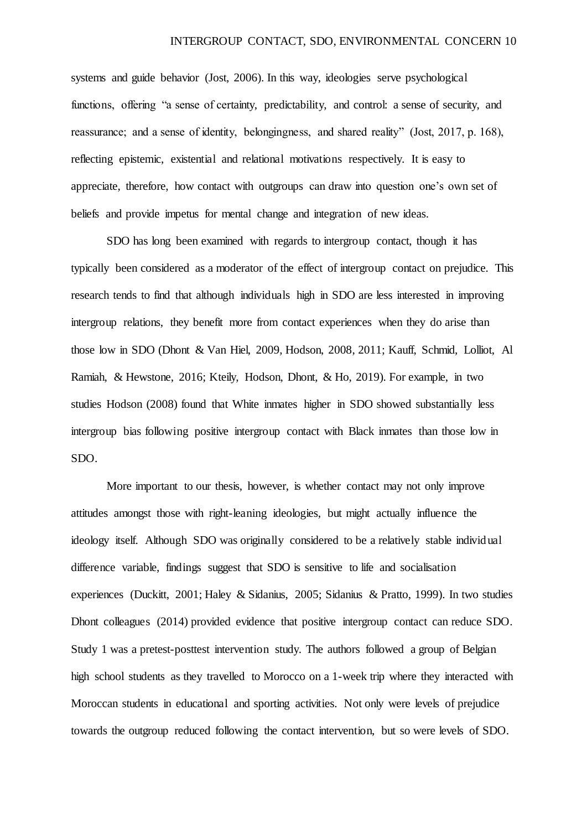systems and guide behavior (Jost, 2006). In this way, ideologies serve psychological functions, offering "a sense of certainty, predictability, and control: a sense of security, and reassurance; and a sense of identity, belongingness, and shared reality" (Jost, 2017, p. 168), reflecting epistemic, existential and relational motivations respectively. It is easy to appreciate, therefore, how contact with outgroups can draw into question one's own set of beliefs and provide impetus for mental change and integration of new ideas.

SDO has long been examined with regards to intergroup contact, though it has typically been considered as a moderator of the effect of intergroup contact on prejudice. This research tends to find that although individuals high in SDO are less interested in improving intergroup relations, they benefit more from contact experiences when they do arise than those low in SDO (Dhont & Van Hiel, 2009, Hodson, 2008, 2011; Kauff, Schmid, Lolliot, Al Ramiah, & Hewstone, 2016; Kteily, Hodson, Dhont, & Ho, 2019). For example, in two studies Hodson (2008) found that White inmates higher in SDO showed substantially less intergroup bias following positive intergroup contact with Black inmates than those low in SDO.

More important to our thesis, however, is whether contact may not only improve attitudes amongst those with right-leaning ideologies, but might actually influence the ideology itself. Although SDO was originally considered to be a relatively stable individual difference variable, findings suggest that SDO is sensitive to life and socialisation experiences (Duckitt, 2001; Haley & Sidanius, 2005; Sidanius & Pratto, 1999). In two studies Dhont colleagues (2014) provided evidence that positive intergroup contact can reduce SDO. Study 1 was a pretest-posttest intervention study. The authors followed a group of Belgian high school students as they travelled to Morocco on a 1-week trip where they interacted with Moroccan students in educational and sporting activities. Not only were levels of prejudice towards the outgroup reduced following the contact intervention, but so were levels of SDO.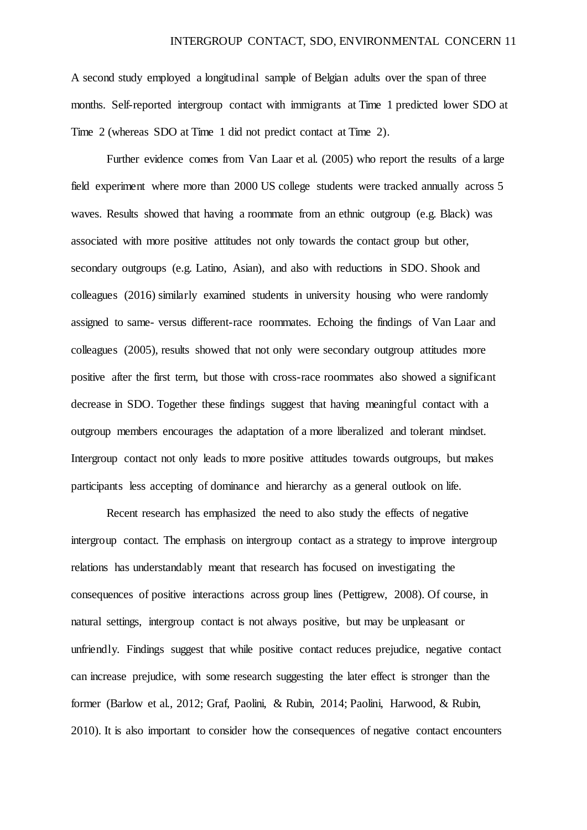A second study employed a longitudinal sample of Belgian adults over the span of three months. Self-reported intergroup contact with immigrants at Time 1 predicted lower SDO at Time 2 (whereas SDO at Time 1 did not predict contact at Time 2).

Further evidence comes from Van Laar et al. (2005) who report the results of a large field experiment where more than 2000 US college students were tracked annually across 5 waves. Results showed that having a roommate from an ethnic outgroup (e.g. Black) was associated with more positive attitudes not only towards the contact group but other, secondary outgroups (e.g. Latino, Asian), and also with reductions in SDO. Shook and colleagues (2016) similarly examined students in university housing who were randomly assigned to same- versus different-race roommates. Echoing the findings of Van Laar and colleagues (2005), results showed that not only were secondary outgroup attitudes more positive after the first term, but those with cross-race roommates also showed a significant decrease in SDO. Together these findings suggest that having meaningful contact with a outgroup members encourages the adaptation of a more liberalized and tolerant mindset. Intergroup contact not only leads to more positive attitudes towards outgroups, but makes participants less accepting of dominance and hierarchy as a general outlook on life.

Recent research has emphasized the need to also study the effects of negative intergroup contact. The emphasis on intergroup contact as a strategy to improve intergroup relations has understandably meant that research has focused on investigating the consequences of positive interactions across group lines (Pettigrew, 2008). Of course, in natural settings, intergroup contact is not always positive, but may be unpleasant or unfriendly. Findings suggest that while positive contact reduces prejudice, negative contact can increase prejudice, with some research suggesting the later effect is stronger than the former (Barlow et al., 2012; Graf, Paolini, & Rubin, 2014; Paolini, Harwood, & Rubin, 2010). It is also important to consider how the consequences of negative contact encounters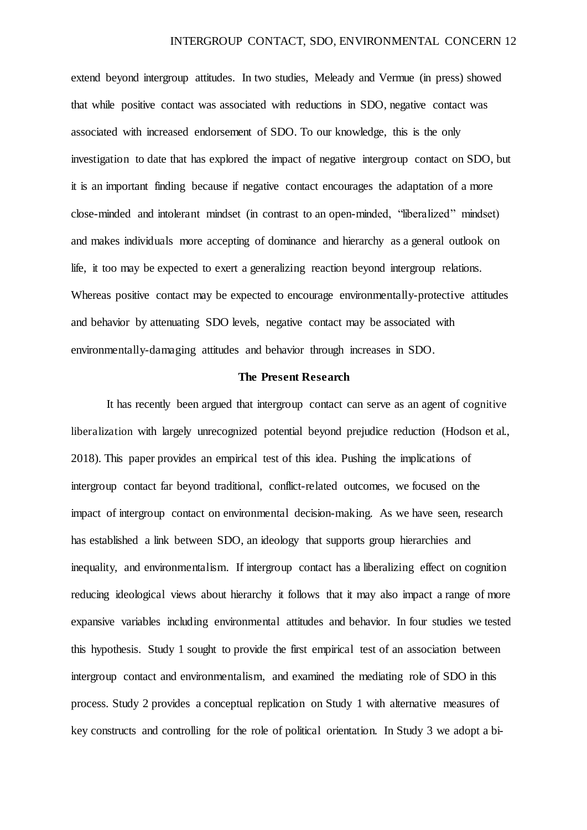extend beyond intergroup attitudes. In two studies, Meleady and Vermue (in press) showed that while positive contact was associated with reductions in SDO, negative contact was associated with increased endorsement of SDO. To our knowledge, this is the only investigation to date that has explored the impact of negative intergroup contact on SDO, but it is an important finding because if negative contact encourages the adaptation of a more close-minded and intolerant mindset (in contrast to an open-minded, "liberalized" mindset) and makes individuals more accepting of dominance and hierarchy as a general outlook on life, it too may be expected to exert a generalizing reaction beyond intergroup relations. Whereas positive contact may be expected to encourage environmentally-protective attitudes and behavior by attenuating SDO levels, negative contact may be associated with environmentally-damaging attitudes and behavior through increases in SDO.

#### **The Present Research**

It has recently been argued that intergroup contact can serve as an agent of cognitive liberalization with largely unrecognized potential beyond prejudice reduction (Hodson et al., 2018). This paper provides an empirical test of this idea. Pushing the implications of intergroup contact far beyond traditional, conflict-related outcomes, we focused on the impact of intergroup contact on environmental decision-making. As we have seen, research has established a link between SDO, an ideology that supports group hierarchies and inequality, and environmentalism. If intergroup contact has a liberalizing effect on cognition reducing ideological views about hierarchy it follows that it may also impact a range of more expansive variables including environmental attitudes and behavior. In four studies we tested this hypothesis. Study 1 sought to provide the first empirical test of an association between intergroup contact and environmentalism, and examined the mediating role of SDO in this process. Study 2 provides a conceptual replication on Study 1 with alternative measures of key constructs and controlling for the role of political orientation. In Study 3 we adopt a bi-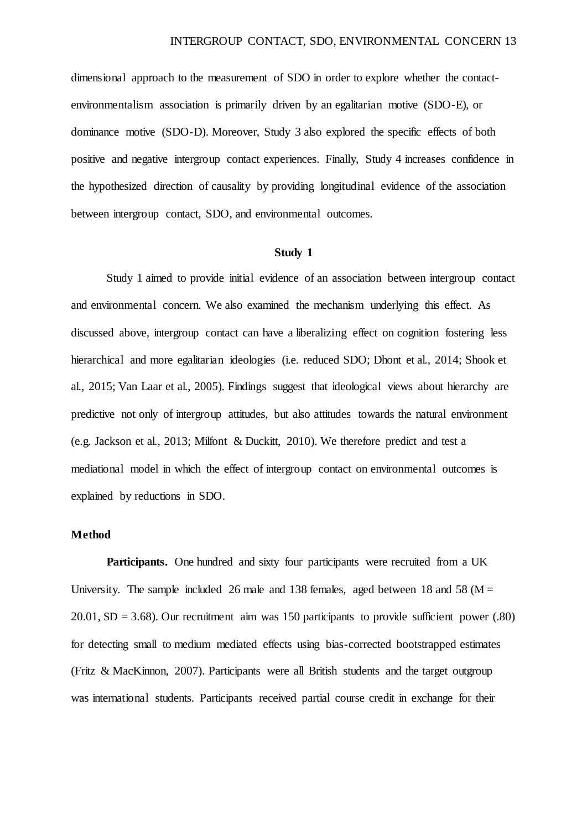dimensional approach to the measurement of SDO in order to explore whether the contactenvironmentalism association is primarily driven by an egalitarian motive (SDO-E), or dominance motive (SDO-D). Moreover, Study 3 also explored the specific effects of both positive and negative intergroup contact experiences. Finally, Study 4 increases confidence in the hypothesized direction of causality by providing longitudinal evidence of the association between intergroup contact, SDO, and environmental outcomes.

#### **Study 1**

Study 1 aimed to provide initial evidence of an association between intergroup contact and environmental concern. We also examined the mechanism underlying this effect. As discussed above, intergroup contact can have a liberalizing effect on cognition fostering less hierarchical and more egalitarian ideologies (i.e. reduced SDO; Dhont et al., 2014; Shook et al., 2015; Van Laar et al., 2005). Findings suggest that ideological views about hierarchy are predictive not only of intergroup attitudes, but also attitudes towards the natural environment (e.g. Jackson et al., 2013; Milfont & Duckitt, 2010). We therefore predict and test a mediational model in which the effect of intergroup contact on environmental outcomes is explained by reductions in SDO.

#### **Method**

Participants. One hundred and sixty four participants were recruited from a UK University. The sample included 26 male and 138 females, aged between 18 and 58 ( $M =$  $20.01$ , SD = 3.68). Our recruitment aim was 150 participants to provide sufficient power (.80) for detecting small to medium mediated effects using bias-corrected bootstrapped estimates (Fritz & MacKinnon, 2007). Participants were all British students and the target outgroup was international students. Participants received partial course credit in exchange for their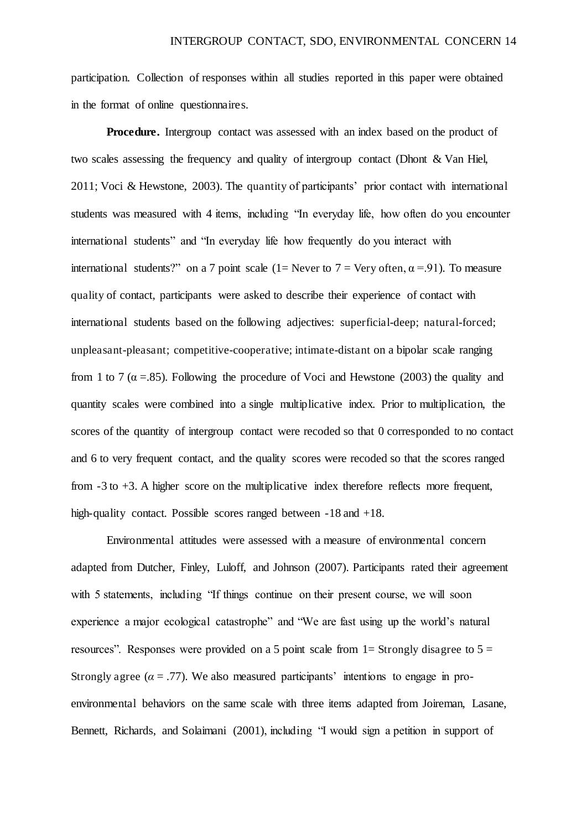participation. Collection of responses within all studies reported in this paper were obtained in the format of online questionnaires.

**Procedure.** Intergroup contact was assessed with an index based on the product of two scales assessing the frequency and quality of intergroup contact (Dhont & Van Hiel, 2011; Voci & Hewstone, 2003). The quantity of participants' prior contact with international students was measured with 4 items, including "In everyday life, how often do you encounter international students" and "In everyday life how frequently do you interact with international students?" on a 7 point scale (1= Never to 7 = Very often,  $\alpha$  = 91). To measure quality of contact, participants were asked to describe their experience of contact with international students based on the following adjectives: superficial-deep; natural-forced; unpleasant-pleasant; competitive-cooperative; intimate-distant on a bipolar scale ranging from 1 to 7 ( $\alpha$  = 85). Following the procedure of Voci and Hewstone (2003) the quality and quantity scales were combined into a single multiplicative index. Prior to multiplication, the scores of the quantity of intergroup contact were recoded so that 0 corresponded to no contact and 6 to very frequent contact, and the quality scores were recoded so that the scores ranged from -3 to +3. A higher score on the multiplicative index therefore reflects more frequent, high-quality contact. Possible scores ranged between -18 and +18.

Environmental attitudes were assessed with a measure of environmental concern adapted from Dutcher, Finley, Luloff, and Johnson (2007). Participants rated their agreement with 5 statements, including "If things continue on their present course, we will soon experience a major ecological catastrophe" and "We are fast using up the world's natural resources". Responses were provided on a 5 point scale from  $1=$  Strongly disagree to  $5=$ Strongly agree  $(a = .77)$ . We also measured participants' intentions to engage in proenvironmental behaviors on the same scale with three items adapted from Joireman, Lasane, Bennett, Richards, and Solaimani (2001), including "I would sign a petition in support of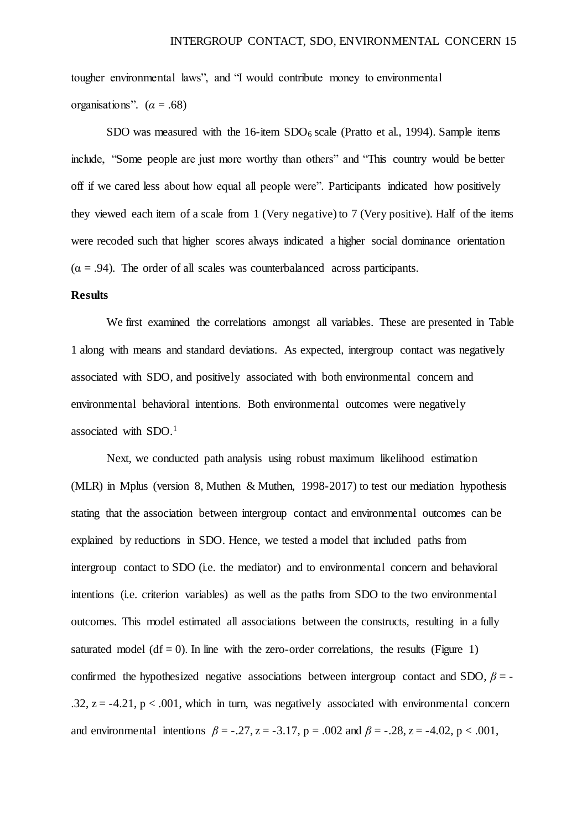tougher environmental laws", and "I would contribute money to environmental organisations".  $(\alpha = .68)$ 

SDO was measured with the  $16$ -item SDO $_6$  scale (Pratto et al., 1994). Sample items include, "Some people are just more worthy than others" and "This country would be better off if we cared less about how equal all people were". Participants indicated how positively they viewed each item of a scale from 1 (Very negative) to 7 (Very positive). Half of the items were recoded such that higher scores always indicated a higher social dominance orientation  $(\alpha = .94)$ . The order of all scales was counterbalanced across participants.

#### **Results**

We first examined the correlations amongst all variables. These are presented in Table 1 along with means and standard deviations. As expected, intergroup contact was negatively associated with SDO, and positively associated with both environmental concern and environmental behavioral intentions. Both environmental outcomes were negatively associated with SDO.<sup>1</sup>

Next, we conducted path analysis using robust maximum likelihood estimation (MLR) in Mplus (version 8, Muthen & Muthen, 1998-2017) to test our mediation hypothesis stating that the association between intergroup contact and environmental outcomes can be explained by reductions in SDO. Hence, we tested a model that included paths from intergroup contact to SDO (i.e. the mediator) and to environmental concern and behavioral intentions (i.e. criterion variables) as well as the paths from SDO to the two environmental outcomes. This model estimated all associations between the constructs, resulting in a fully saturated model (df  $= 0$ ). In line with the zero-order correlations, the results (Figure 1) confirmed the hypothesized negative associations between intergroup contact and SDO,  $\beta$  = -.32,  $z = -4.21$ ,  $p < .001$ , which in turn, was negatively associated with environmental concern and environmental intentions  $\beta = -0.27$ ,  $z = -3.17$ ,  $p = 0.002$  and  $\beta = -0.28$ ,  $z = -4.02$ ,  $p < 0.001$ ,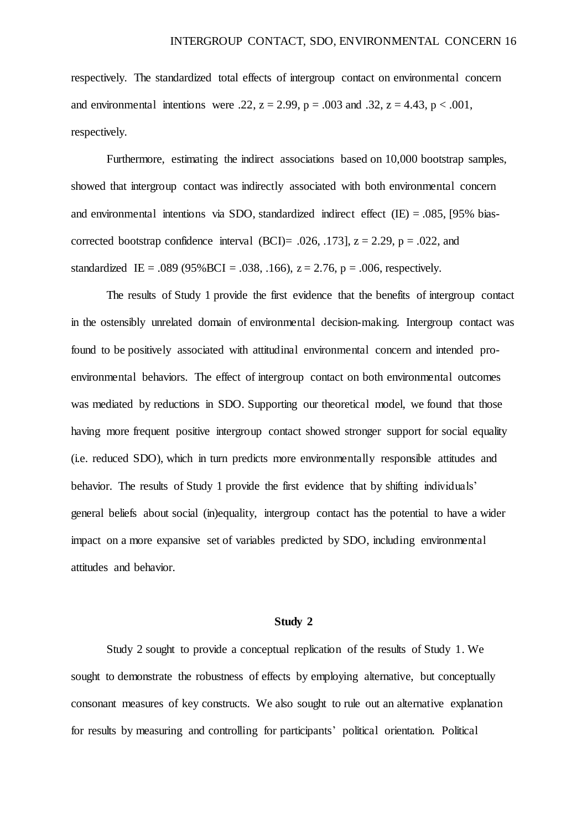respectively. The standardized total effects of intergroup contact on environmental concern and environmental intentions were .22,  $z = 2.99$ ,  $p = .003$  and .32,  $z = 4.43$ ,  $p < .001$ , respectively.

Furthermore, estimating the indirect associations based on 10,000 bootstrap samples, showed that intergroup contact was indirectly associated with both environmental concern and environmental intentions via SDO, standardized indirect effect  $(IE) = .085$ , [95% biascorrected bootstrap confidence interval (BCI)= .026, .1731,  $z = 2.29$ ,  $p = .022$ , and standardized IE = .089 (95% BCI = .038, .166),  $z = 2.76$ ,  $p = .006$ , respectively.

The results of Study 1 provide the first evidence that the benefits of intergroup contact in the ostensibly unrelated domain of environmental decision-making. Intergroup contact was found to be positively associated with attitudinal environmental concern and intended proenvironmental behaviors. The effect of intergroup contact on both environmental outcomes was mediated by reductions in SDO. Supporting our theoretical model, we found that those having more frequent positive intergroup contact showed stronger support for social equality (i.e. reduced SDO), which in turn predicts more environmentally responsible attitudes and behavior. The results of Study 1 provide the first evidence that by shifting individuals' general beliefs about social (in)equality, intergroup contact has the potential to have a wider impact on a more expansive set of variables predicted by SDO, including environmental attitudes and behavior.

#### **Study 2**

Study 2 sought to provide a conceptual replication of the results of Study 1. We sought to demonstrate the robustness of effects by employing alternative, but conceptually consonant measures of key constructs. We also sought to rule out an alternative explanation for results by measuring and controlling for participants' political orientation. Political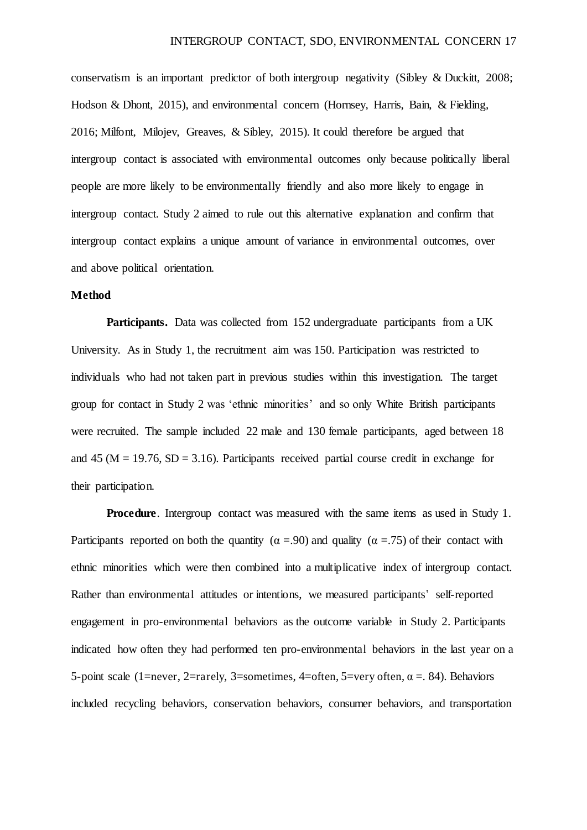conservatism is an important predictor of both intergroup negativity (Sibley & Duckitt, 2008; Hodson & Dhont, 2015), and environmental concern (Hornsey, Harris, Bain, & Fielding, 2016; Milfont, Milojev, Greaves, & Sibley, 2015). It could therefore be argued that intergroup contact is associated with environmental outcomes only because politically liberal people are more likely to be environmentally friendly and also more likely to engage in intergroup contact. Study 2 aimed to rule out this alternative explanation and confirm that intergroup contact explains a unique amount of variance in environmental outcomes, over and above political orientation.

#### **Method**

Participants. Data was collected from 152 undergraduate participants from a UK University. As in Study 1, the recruitment aim was 150. Participation was restricted to individuals who had not taken part in previous studies within this investigation. The target group for contact in Study 2 was 'ethnic minorities' and so only White British participants were recruited. The sample included 22 male and 130 female participants, aged between 18 and 45 ( $M = 19.76$ ,  $SD = 3.16$ ). Participants received partial course credit in exchange for their participation.

**Procedure**. Intergroup contact was measured with the same items as used in Study 1. Participants reported on both the quantity ( $\alpha = .90$ ) and quality ( $\alpha = .75$ ) of their contact with ethnic minorities which were then combined into a multiplicative index of intergroup contact. Rather than environmental attitudes or intentions, we measured participants' self-reported engagement in pro-environmental behaviors as the outcome variable in Study 2. Participants indicated how often they had performed ten pro-environmental behaviors in the last year on a 5-point scale (1=never, 2=rarely, 3=sometimes, 4=often, 5=very often,  $\alpha$  = 84). Behaviors included recycling behaviors, conservation behaviors, consumer behaviors, and transportation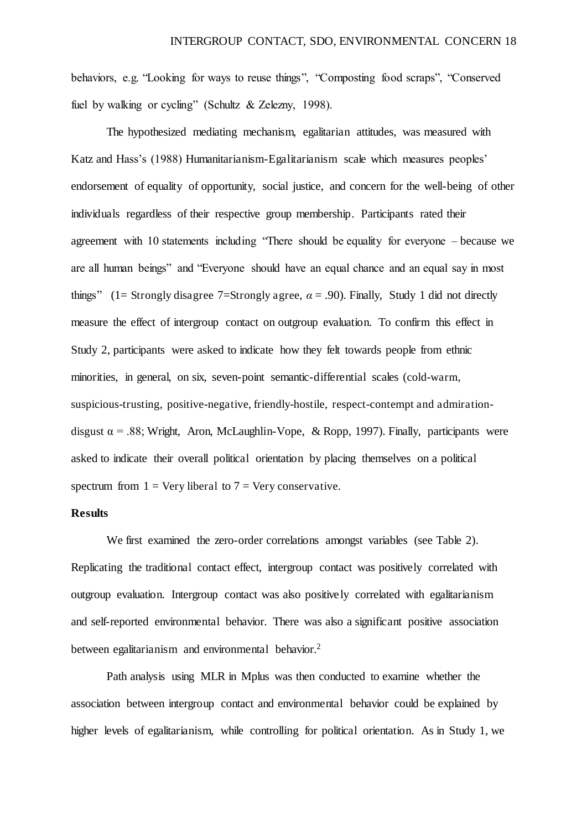behaviors, e.g. "Looking for ways to reuse things", "Composting food scraps", "Conserved fuel by walking or cycling" (Schultz & Zelezny, 1998).

The hypothesized mediating mechanism, egalitarian attitudes, was measured with Katz and Hass's (1988) Humanitarianism-Egalitarianism scale which measures peoples' endorsement of equality of opportunity, social justice, and concern for the well-being of other individuals regardless of their respective group membership. Participants rated their agreement with 10 statements including "There should be equality for everyone – because we are all human beings" and "Everyone should have an equal chance and an equal say in most things" (1= Strongly disagree 7=Strongly agree,  $\alpha$  = .90). Finally, Study 1 did not directly measure the effect of intergroup contact on outgroup evaluation. To confirm this effect in Study 2, participants were asked to indicate how they felt towards people from ethnic minorities, in general, on six, seven-point semantic-differential scales (cold-warm, suspicious-trusting, positive-negative, friendly-hostile, respect-contempt and admirationdisgust  $\alpha$  = .88; Wright, Aron, McLaughlin-Vope, & Ropp, 1997). Finally, participants were asked to indicate their overall political orientation by placing themselves on a political spectrum from  $1 = \text{Very liberal to } 7 = \text{Very conservative.}$ 

#### **Results**

We first examined the zero-order correlations amongst variables (see Table 2). Replicating the traditional contact effect, intergroup contact was positively correlated with outgroup evaluation. Intergroup contact was also positively correlated with egalitarianism and self-reported environmental behavior. There was also a significant positive association between egalitarianism and environmental behavior.<sup>2</sup>

Path analysis using MLR in Mplus was then conducted to examine whether the association between intergroup contact and environmental behavior could be explained by higher levels of egalitarianism, while controlling for political orientation. As in Study 1, we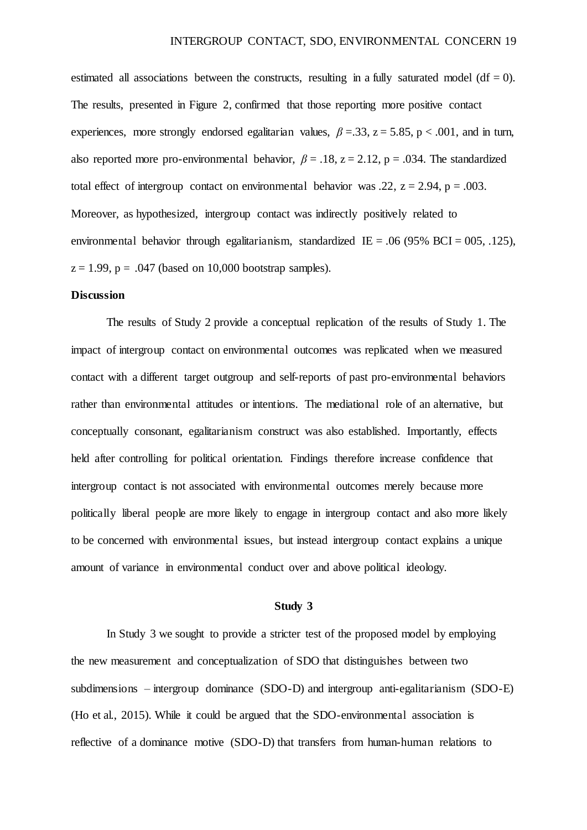estimated all associations between the constructs, resulting in a fully saturated model (df = 0). The results, presented in Figure 2, confirmed that those reporting more positive contact experiences, more strongly endorsed egalitarian values,  $\beta = 33$ ,  $z = 5.85$ ,  $p < .001$ , and in turn, also reported more pro-environmental behavior,  $\beta = .18$ ,  $z = 2.12$ ,  $p = .034$ . The standardized total effect of intergroup contact on environmental behavior was .22,  $z = 2.94$ ,  $p = .003$ . Moreover, as hypothesized, intergroup contact was indirectly positively related to environmental behavior through egalitarianism, standardized IE = .06 (95% BCI = 005, .125),  $z = 1.99$ ,  $p = .047$  (based on 10,000 bootstrap samples).

#### **Discussion**

The results of Study 2 provide a conceptual replication of the results of Study 1. The impact of intergroup contact on environmental outcomes was replicated when we measured contact with a different target outgroup and self-reports of past pro-environmental behaviors rather than environmental attitudes or intentions. The mediational role of an alternative, but conceptually consonant, egalitarianism construct was also established. Importantly, effects held after controlling for political orientation. Findings therefore increase confidence that intergroup contact is not associated with environmental outcomes merely because more politically liberal people are more likely to engage in intergroup contact and also more likely to be concerned with environmental issues, but instead intergroup contact explains a unique amount of variance in environmental conduct over and above political ideology.

#### **Study 3**

In Study 3 we sought to provide a stricter test of the proposed model by employing the new measurement and conceptualization of SDO that distinguishes between two subdimensions – intergroup dominance (SDO-D) and intergroup anti-egalitarianism (SDO-E) (Ho et al., 2015). While it could be argued that the SDO-environmental association is reflective of a dominance motive (SDO-D) that transfers from human-human relations to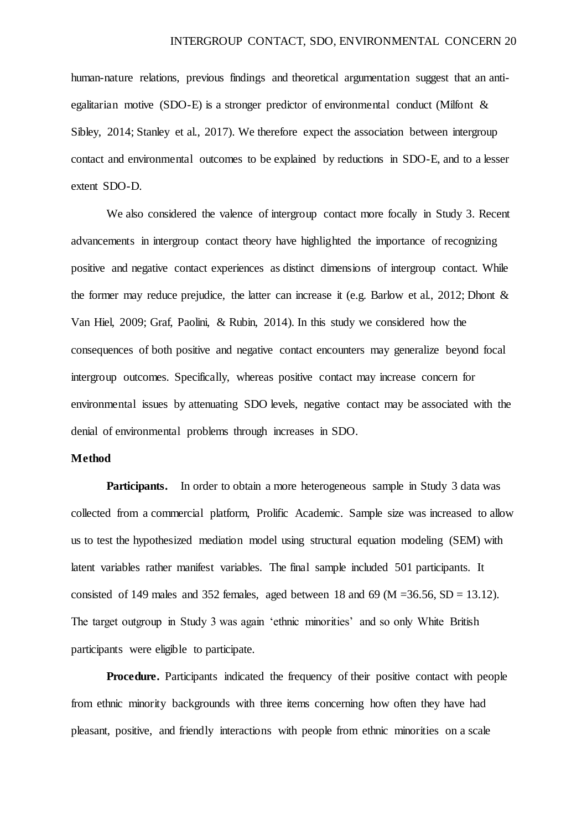human-nature relations, previous findings and theoretical argumentation suggest that an antiegalitarian motive (SDO-E) is a stronger predictor of environmental conduct (Milfont & Sibley, 2014; Stanley et al., 2017). We therefore expect the association between intergroup contact and environmental outcomes to be explained by reductions in SDO-E, and to a lesser extent SDO-D.

We also considered the valence of intergroup contact more focally in Study 3. Recent advancements in intergroup contact theory have highlighted the importance of recognizing positive and negative contact experiences as distinct dimensions of intergroup contact. While the former may reduce prejudice, the latter can increase it (e.g. Barlow et al., 2012; Dhont & Van Hiel, 2009; Graf, Paolini, & Rubin, 2014). In this study we considered how the consequences of both positive and negative contact encounters may generalize beyond focal intergroup outcomes. Specifically, whereas positive contact may increase concern for environmental issues by attenuating SDO levels, negative contact may be associated with the denial of environmental problems through increases in SDO.

#### **Method**

**Participants.** In order to obtain a more heterogeneous sample in Study 3 data was collected from a commercial platform, Prolific Academic. Sample size was increased to allow us to test the hypothesized mediation model using structural equation modeling (SEM) with latent variables rather manifest variables. The final sample included 501 participants. It consisted of 149 males and 352 females, aged between 18 and 69 ( $M = 36.56$ ,  $SD = 13.12$ ). The target outgroup in Study 3 was again 'ethnic minorities' and so only White British participants were eligible to participate.

**Procedure.** Participants indicated the frequency of their positive contact with people from ethnic minority backgrounds with three items concerning how often they have had pleasant, positive, and friendly interactions with people from ethnic minorities on a scale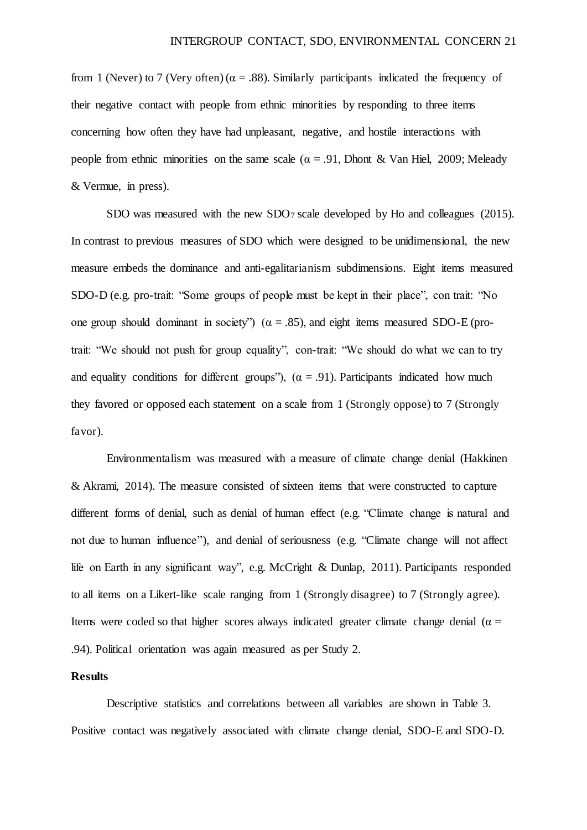from 1 (Never) to 7 (Very often) ( $\alpha = .88$ ). Similarly participants indicated the frequency of their negative contact with people from ethnic minorities by responding to three items concerning how often they have had unpleasant, negative, and hostile interactions with people from ethnic minorities on the same scale ( $\alpha = .91$ , Dhont & Van Hiel, 2009; Meleady & Vermue, in press).

SDO was measured with the new SDO7 scale developed by Ho and colleagues (2015). In contrast to previous measures of SDO which were designed to be unidimensional, the new measure embeds the dominance and anti-egalitarianism subdimensions. Eight items measured SDO-D (e.g. pro-trait: "Some groups of people must be kept in their place", con trait: "No one group should dominant in society") ( $\alpha = .85$ ), and eight items measured SDO-E (protrait: "We should not push for group equality", con-trait: "We should do what we can to try and equality conditions for different groups"),  $(\alpha = .91)$ . Participants indicated how much they favored or opposed each statement on a scale from 1 (Strongly oppose) to 7 (Strongly favor).

Environmentalism was measured with a measure of climate change denial (Hakkinen & Akrami, 2014). The measure consisted of sixteen items that were constructed to capture different forms of denial, such as denial of human effect (e.g. "Climate change is natural and not due to human influence"), and denial of seriousness (e.g. "Climate change will not affect life on Earth in any significant way", e.g. McCright & Dunlap, 2011). Participants responded to all items on a Likert-like scale ranging from 1 (Strongly disagree) to 7 (Strongly agree). Items were coded so that higher scores always indicated greater climate change denial ( $\alpha$  = .94). Political orientation was again measured as per Study 2.

#### **Results**

 Descriptive statistics and correlations between all variables are shown in Table 3. Positive contact was negatively associated with climate change denial, SDO-E and SDO-D.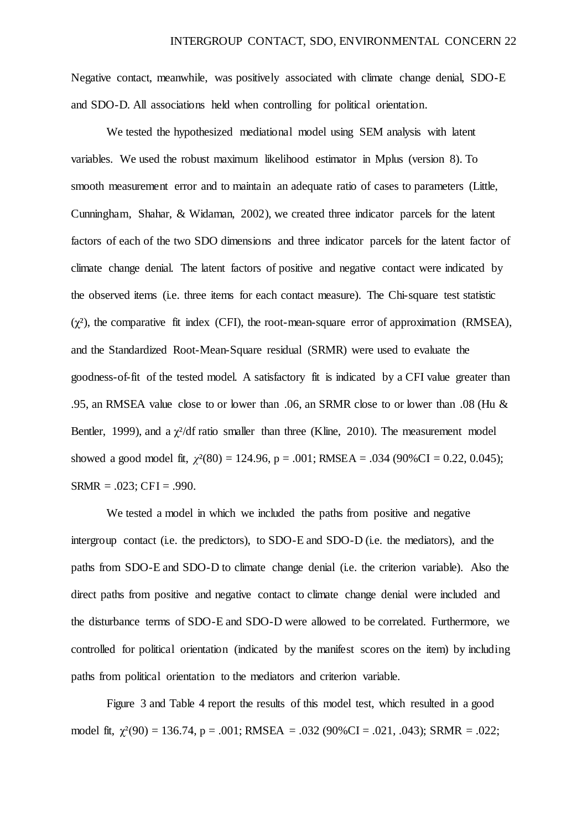Negative contact, meanwhile, was positively associated with climate change denial, SDO-E and SDO-D. All associations held when controlling for political orientation.

We tested the hypothesized mediational model using SEM analysis with latent variables. We used the robust maximum likelihood estimator in Mplus (version 8). To smooth measurement error and to maintain an adequate ratio of cases to parameters (Little, Cunningham, Shahar, & Widaman, 2002), we created three indicator parcels for the latent factors of each of the two SDO dimensions and three indicator parcels for the latent factor of climate change denial. The latent factors of positive and negative contact were indicated by the observed items (i.e. three items for each contact measure). The Chi-square test statistic  $(\chi^2)$ , the comparative fit index (CFI), the root-mean-square error of approximation (RMSEA), and the Standardized Root-Mean-Square residual (SRMR) were used to evaluate the goodness-of-fit of the tested model. A satisfactory fit is indicated by a CFI value greater than .95, an RMSEA value close to or lower than .06, an SRMR close to or lower than .08 (Hu & Bentler, 1999), and a  $\chi^2$ /df ratio smaller than three (Kline, 2010). The measurement model showed a good model fit,  $\chi^2(80) = 124.96$ ,  $p = .001$ ; RMSEA = .034 (90%CI = 0.22, 0.045);  $SRMR = .023$ ;  $CFI = .990$ .

We tested a model in which we included the paths from positive and negative intergroup contact (i.e. the predictors), to SDO-E and SDO-D (i.e. the mediators), and the paths from SDO-E and SDO-D to climate change denial (i.e. the criterion variable). Also the direct paths from positive and negative contact to climate change denial were included and the disturbance terms of SDO-E and SDO-D were allowed to be correlated. Furthermore, we controlled for political orientation (indicated by the manifest scores on the item) by including paths from political orientation to the mediators and criterion variable.

Figure 3 and Table 4 report the results of this model test, which resulted in a good model fit,  $\chi^2(90) = 136.74$ ,  $p = .001$ ; RMSEA = .032 (90%CI = .021, .043); SRMR = .022;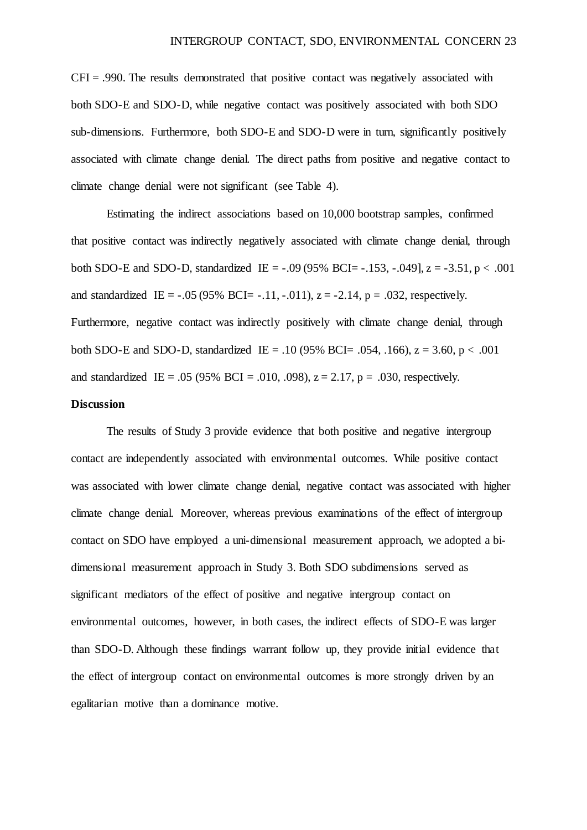$CFI = .990$ . The results demonstrated that positive contact was negatively associated with both SDO-E and SDO-D, while negative contact was positively associated with both SDO sub-dimensions. Furthermore, both SDO-E and SDO-D were in turn, significantly positively associated with climate change denial. The direct paths from positive and negative contact to climate change denial were not significant (see Table 4).

Estimating the indirect associations based on 10,000 bootstrap samples, confirmed that positive contact was indirectly negatively associated with climate change denial, through both SDO-E and SDO-D, standardized IE =  $-.09 (95\% \text{ BCI} = -.153, -.049$ ,  $z = -3.51, p < .001$ and standardized IE =  $-.05 (95\% BCI = -.11, -.011)$ ,  $z = -2.14$ ,  $p = .032$ , respectively. Furthermore, negative contact was indirectly positively with climate change denial, through both SDO-E and SDO-D, standardized IE = .10 (95% BCI= .054, .166),  $z = 3.60$ ,  $p < .001$ and standardized IE = .05 (95% BCI = .010, .098),  $z = 2.17$ ,  $p = .030$ , respectively.

#### **Discussion**

The results of Study 3 provide evidence that both positive and negative intergroup contact are independently associated with environmental outcomes. While positive contact was associated with lower climate change denial, negative contact was associated with higher climate change denial. Moreover, whereas previous examinations of the effect of intergroup contact on SDO have employed a uni-dimensional measurement approach, we adopted a bidimensional measurement approach in Study 3. Both SDO subdimensions served as significant mediators of the effect of positive and negative intergroup contact on environmental outcomes, however, in both cases, the indirect effects of SDO-E was larger than SDO-D. Although these findings warrant follow up, they provide initial evidence that the effect of intergroup contact on environmental outcomes is more strongly driven by an egalitarian motive than a dominance motive.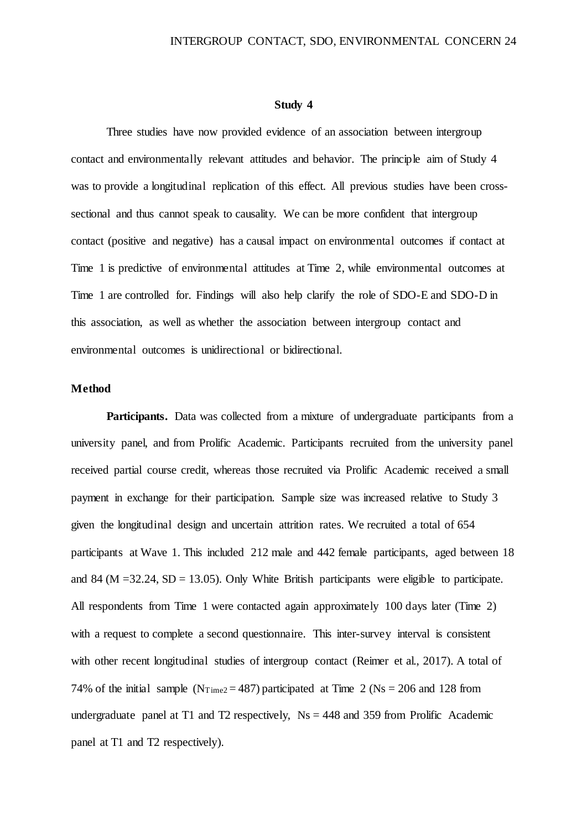#### **Study 4**

Three studies have now provided evidence of an association between intergroup contact and environmentally relevant attitudes and behavior. The principle aim of Study 4 was to provide a longitudinal replication of this effect. All previous studies have been crosssectional and thus cannot speak to causality. We can be more confident that intergroup contact (positive and negative) has a causal impact on environmental outcomes if contact at Time 1 is predictive of environmental attitudes at Time 2, while environmental outcomes at Time 1 are controlled for. Findings will also help clarify the role of SDO-E and SDO-D in this association, as well as whether the association between intergroup contact and environmental outcomes is unidirectional or bidirectional.

#### **Method**

Participants. Data was collected from a mixture of undergraduate participants from a university panel, and from Prolific Academic. Participants recruited from the university panel received partial course credit, whereas those recruited via Prolific Academic received a small payment in exchange for their participation. Sample size was increased relative to Study 3 given the longitudinal design and uncertain attrition rates. We recruited a total of 654 participants at Wave 1. This included 212 male and 442 female participants, aged between 18 and 84 (M = 32.24, SD = 13.05). Only White British participants were eligible to participate. All respondents from Time 1 were contacted again approximately 100 days later (Time 2) with a request to complete a second questionnaire. This inter-survey interval is consistent with other recent longitudinal studies of intergroup contact (Reimer et al., 2017). A total of 74% of the initial sample ( $N_{Time2} = 487$ ) participated at Time 2 ( $Ns = 206$  and 128 from undergraduate panel at T1 and T2 respectively,  $Ns = 448$  and 359 from Prolific Academic panel at T1 and T2 respectively).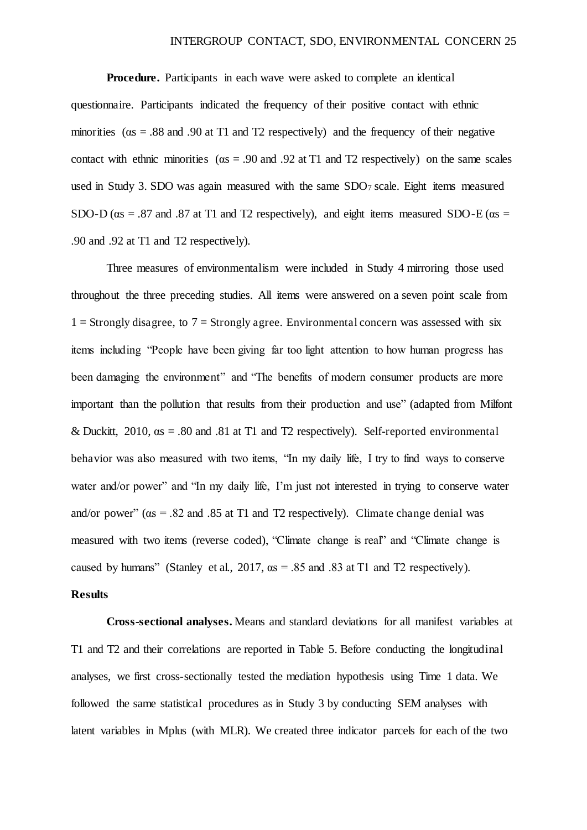**Procedure.** Participants in each wave were asked to complete an identical questionnaire. Participants indicated the frequency of their positive contact with ethnic minorities ( $\alpha$ s = .88 and .90 at T1 and T2 respectively) and the frequency of their negative contact with ethnic minorities ( $\alpha$ s = .90 and .92 at T1 and T2 respectively) on the same scales used in Study 3. SDO was again measured with the same SDO7 scale. Eight items measured SDO-D ( $\alpha$ s = .87 and .87 at T1 and T2 respectively), and eight items measured SDO-E ( $\alpha$ s = .90 and .92 at T1 and T2 respectively).

Three measures of environmentalism were included in Study 4 mirroring those used throughout the three preceding studies. All items were answered on a seven point scale from  $1 =$  Strongly disagree, to  $7 =$  Strongly agree. Environmental concern was assessed with six items including "People have been giving far too light attention to how human progress has been damaging the environment" and "The benefits of modern consumer products are more important than the pollution that results from their production and use" (adapted from Milfont & Duckitt, 2010, αs = .80 and .81 at T1 and T2 respectively). Self-reported environmental behavior was also measured with two items, "In my daily life, I try to find ways to conserve water and/or power" and "In my daily life, I'm just not interested in trying to conserve water and/or power" ( $\alpha$ s = .82 and .85 at T1 and T2 respectively). Climate change denial was measured with two items (reverse coded), "Climate change is real" and "Climate change is caused by humans" (Stanley et al.,  $2017$ ,  $\alpha s = .85$  and  $.83$  at T1 and T2 respectively).

#### **Results**

**Cross-sectional analyses.** Means and standard deviations for all manifest variables at T1 and T2 and their correlations are reported in Table 5. Before conducting the longitudinal analyses, we first cross-sectionally tested the mediation hypothesis using Time 1 data. We followed the same statistical procedures as in Study 3 by conducting SEM analyses with latent variables in Mplus (with MLR). We created three indicator parcels for each of the two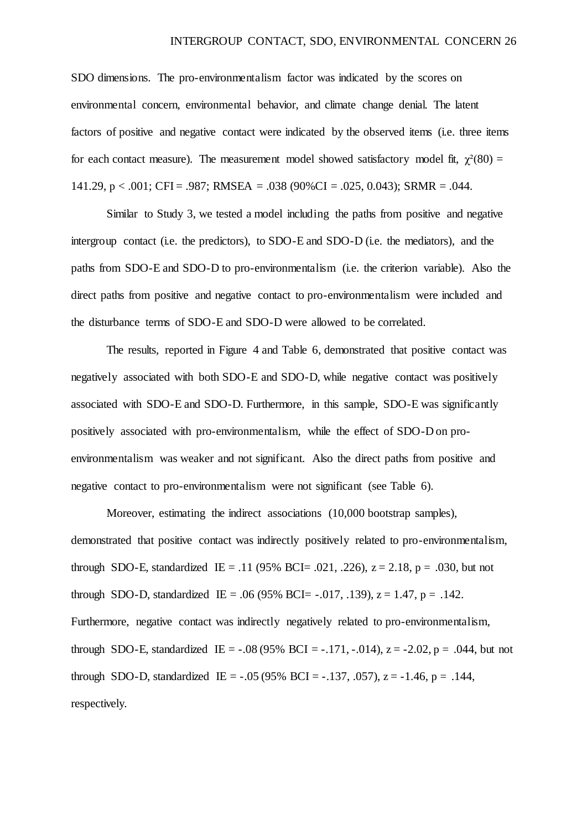SDO dimensions. The pro-environmentalism factor was indicated by the scores on environmental concern, environmental behavior, and climate change denial. The latent factors of positive and negative contact were indicated by the observed items (i.e. three items for each contact measure). The measurement model showed satisfactory model fit,  $\chi^2(80) =$ 141.29, p < .001; CFI = .987; RMSEA = .038 (90%CI = .025, 0.043); SRMR = .044.

Similar to Study 3, we tested a model including the paths from positive and negative intergroup contact (i.e. the predictors), to SDO-E and SDO-D (i.e. the mediators), and the paths from SDO-E and SDO-D to pro-environmentalism (i.e. the criterion variable). Also the direct paths from positive and negative contact to pro-environmentalism were included and the disturbance terms of SDO-E and SDO-D were allowed to be correlated.

The results, reported in Figure 4 and Table 6, demonstrated that positive contact was negatively associated with both SDO-E and SDO-D, while negative contact was positively associated with SDO-E and SDO-D. Furthermore, in this sample, SDO-E was significantly positively associated with pro-environmentalism, while the effect of SDO-D on proenvironmentalism was weaker and not significant. Also the direct paths from positive and negative contact to pro-environmentalism were not significant (see Table 6).

Moreover, estimating the indirect associations (10,000 bootstrap samples), demonstrated that positive contact was indirectly positively related to pro-environmentalism, through SDO-E, standardized IE = .11 (95% BCI= .021, .226),  $z = 2.18$ ,  $p = .030$ , but not through SDO-D, standardized IE = .06 (95% BCI= -.017, .139),  $z = 1.47$ ,  $p = .142$ . Furthermore, negative contact was indirectly negatively related to pro-environmentalism, through SDO-E, standardized IE =  $-.08 (95\% \text{ BCI} = -.171, -.014)$ ,  $z = -2.02$ ,  $p = .044$ , but not through SDO-D, standardized IE =  $-.05 (95\% \text{ BCI} = -.137, .057)$ , z =  $-1.46$ , p =  $.144$ , respectively.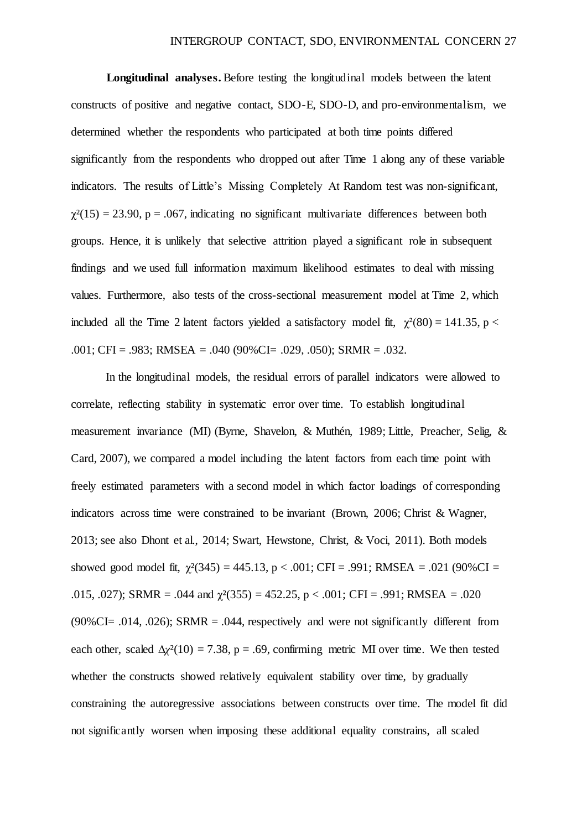**Longitudinal analyses.** Before testing the longitudinal models between the latent constructs of positive and negative contact, SDO-E, SDO-D, and pro-environmentalism, we determined whether the respondents who participated at both time points differed significantly from the respondents who dropped out after Time 1 along any of these variable indicators. The results of Little's Missing Completely At Random test was non-significant,  $\gamma^2(15) = 23.90$ , p = .067, indicating no significant multivariate differences between both groups. Hence, it is unlikely that selective attrition played a significant role in subsequent findings and we used full information maximum likelihood estimates to deal with missing values. Furthermore, also tests of the cross-sectional measurement model at Time 2, which included all the Time 2 latent factors yielded a satisfactory model fit,  $\chi^2(80) = 141.35$ , p < .001; CFI = .983; RMSEA = .040 (90%CI= .029, .050); SRMR = .032.

In the longitudinal models, the residual errors of parallel indicators were allowed to correlate, reflecting stability in systematic error over time. To establish longitudinal measurement invariance (MI) (Byrne, Shavelon, & Muthén, 1989; Little, Preacher, Selig, & Card, 2007), we compared a model including the latent factors from each time point with freely estimated parameters with a second model in which factor loadings of corresponding indicators across time were constrained to be invariant (Brown, 2006; Christ & Wagner, 2013; see also Dhont et al., 2014; Swart, Hewstone, Christ, & Voci, 2011). Both models showed good model fit,  $\chi^2(345) = 445.13$ ,  $p < .001$ ; CFI = .991; RMSEA = .021 (90%CI = .015, .027); SRMR = .044 and  $\chi^2(355) = 452.25$ , p < .001; CFI = .991; RMSEA = .020  $(90\%CI = .014, .026)$ ; SRMR = .044, respectively and were not significantly different from each other, scaled  $\Delta \chi^2(10) = 7.38$ , p = .69, confirming metric MI over time. We then tested whether the constructs showed relatively equivalent stability over time, by gradually constraining the autoregressive associations between constructs over time. The model fit did not significantly worsen when imposing these additional equality constrains, all scaled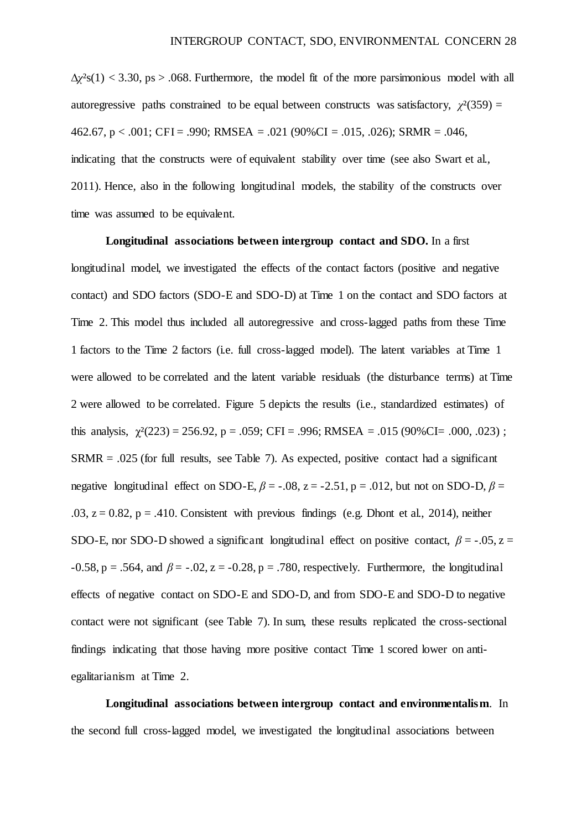$\Delta \chi^2$ s(1) < 3.30, ps > .068. Furthermore, the model fit of the more parsimonious model with all autoregressive paths constrained to be equal between constructs was satisfactory,  $\chi^2(359)$  = 462.67, p < .001; CFI = .990; RMSEA = .021 (90%CI = .015, .026); SRMR = .046, indicating that the constructs were of equivalent stability over time (see also Swart et al., 2011). Hence, also in the following longitudinal models, the stability of the constructs over time was assumed to be equivalent.

**Longitudinal associations between intergroup contact and SDO.** In a first longitudinal model, we investigated the effects of the contact factors (positive and negative contact) and SDO factors (SDO-E and SDO-D) at Time 1 on the contact and SDO factors at Time 2. This model thus included all autoregressive and cross-lagged paths from these Time 1 factors to the Time 2 factors (i.e. full cross-lagged model). The latent variables at Time 1 were allowed to be correlated and the latent variable residuals (the disturbance terms) at Time 2 were allowed to be correlated. Figure 5 depicts the results (i.e., standardized estimates) of this analysis,  $\chi^2(223) = 256.92$ , p = .059; CFI = .996; RMSEA = .015 (90%CI= .000, .023);  $SRMR = .025$  (for full results, see Table 7). As expected, positive contact had a significant negative longitudinal effect on SDO-E,  $\beta$  = -.08, z = -2.51, p = .012, but not on SDO-D,  $\beta$  = .03,  $z = 0.82$ ,  $p = .410$ . Consistent with previous findings (e.g. Dhont et al., 2014), neither SDO-E, nor SDO-D showed a significant longitudinal effect on positive contact,  $\beta = -0.05$ ,  $z =$  $-0.58$ , p = .564, and  $\beta$  =  $-0.02$ , z =  $-0.28$ , p = .780, respectively. Furthermore, the longitudinal effects of negative contact on SDO-E and SDO-D, and from SDO-E and SDO-D to negative contact were not significant (see Table 7). In sum, these results replicated the cross-sectional findings indicating that those having more positive contact Time 1 scored lower on antiegalitarianism at Time 2.

**Longitudinal associations between intergroup contact and environmentalism**. In the second full cross-lagged model, we investigated the longitudinal associations between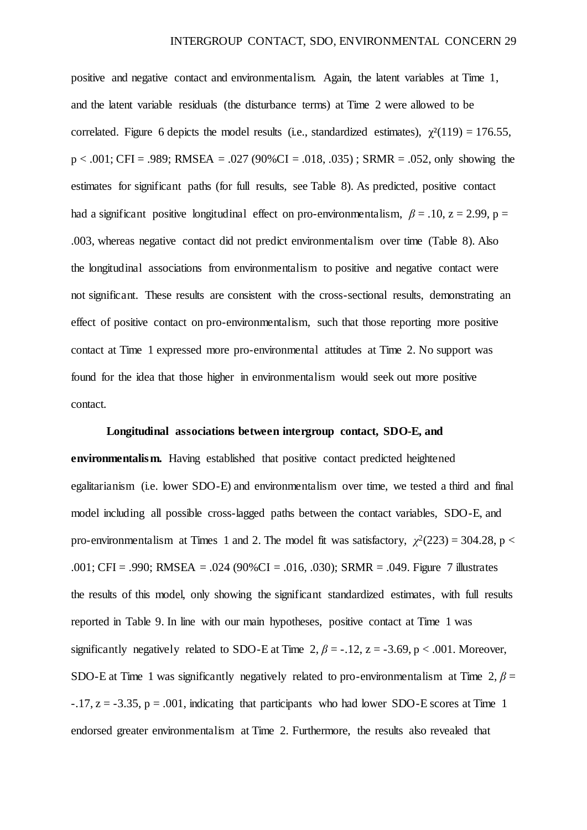positive and negative contact and environmentalism. Again, the latent variables at Time 1, and the latent variable residuals (the disturbance terms) at Time 2 were allowed to be correlated. Figure 6 depicts the model results (i.e., standardized estimates),  $\gamma^2(119) = 176.55$ ,  $p < .001$ ; CFI = .989; RMSEA = .027 (90%CI = .018, .035); SRMR = .052, only showing the estimates for significant paths (for full results, see Table 8). As predicted, positive contact had a significant positive longitudinal effect on pro-environmentalism,  $\beta = .10$ ,  $z = 2.99$ ,  $p =$ .003, whereas negative contact did not predict environmentalism over time (Table 8). Also the longitudinal associations from environmentalism to positive and negative contact were not significant. These results are consistent with the cross-sectional results, demonstrating an effect of positive contact on pro-environmentalism, such that those reporting more positive contact at Time 1 expressed more pro-environmental attitudes at Time 2. No support was found for the idea that those higher in environmentalism would seek out more positive contact.

#### **Longitudinal associations between intergroup contact, SDO-E, and**

**environmentalism.** Having established that positive contact predicted heightened egalitarianism (i.e. lower SDO-E) and environmentalism over time, we tested a third and final model including all possible cross-lagged paths between the contact variables, SDO-E, and pro-environmentalism at Times 1 and 2. The model fit was satisfactory,  $\chi^2(223) = 304.28$ , p < .001; CFI = .990; RMSEA = .024 (90%CI = .016, .030); SRMR = .049. Figure 7 illustrates the results of this model, only showing the significant standardized estimates, with full results reported in Table 9. In line with our main hypotheses, positive contact at Time 1 was significantly negatively related to SDO-E at Time 2,  $\beta$  = -.12, z = -3.69, p < .001. Moreover, SDO-E at Time 1 was significantly negatively related to pro-environmentalism at Time 2,  $\beta$  =  $-17$ ,  $z = -3.35$ ,  $p = .001$ , indicating that participants who had lower SDO-E scores at Time 1 endorsed greater environmentalism at Time 2. Furthermore, the results also revealed that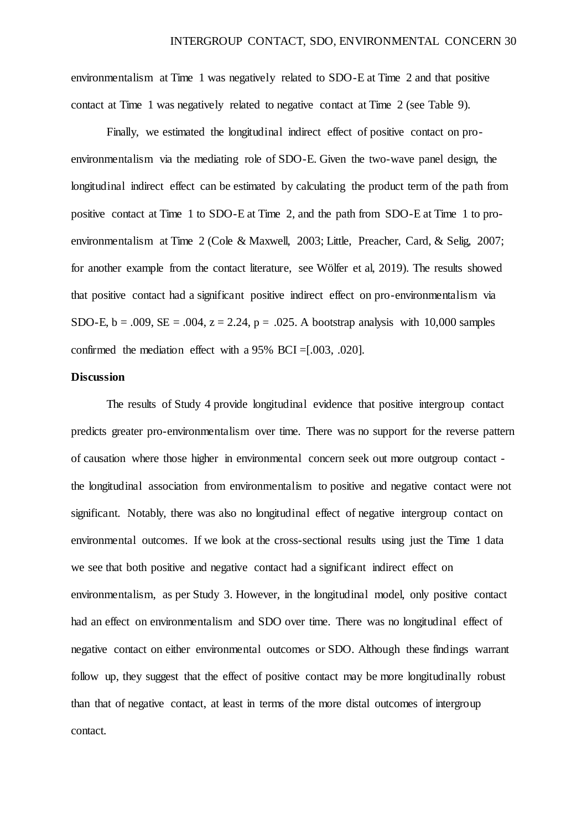environmentalism at Time 1 was negatively related to SDO-E at Time 2 and that positive contact at Time 1 was negatively related to negative contact at Time 2 (see Table 9).

Finally, we estimated the longitudinal indirect effect of positive contact on proenvironmentalism via the mediating role of SDO-E. Given the two-wave panel design, the longitudinal indirect effect can be estimated by calculating the product term of the path from positive contact at Time 1 to SDO-E at Time 2, and the path from SDO-E at Time 1 to proenvironmentalism at Time 2 (Cole & Maxwell, 2003; Little, Preacher, Card, & Selig, 2007; for another example from the contact literature, see Wölfer et al, 2019). The results showed that positive contact had a significant positive indirect effect on pro-environmentalism via SDO-E,  $b = .009$ ,  $SE = .004$ ,  $z = 2.24$ ,  $p = .025$ . A bootstrap analysis with 10,000 samples confirmed the mediation effect with a 95% BCI =[.003, .020].

#### **Discussion**

The results of Study 4 provide longitudinal evidence that positive intergroup contact predicts greater pro-environmentalism over time. There was no support for the reverse pattern of causation where those higher in environmental concern seek out more outgroup contact the longitudinal association from environmentalism to positive and negative contact were not significant. Notably, there was also no longitudinal effect of negative intergroup contact on environmental outcomes. If we look at the cross-sectional results using just the Time 1 data we see that both positive and negative contact had a significant indirect effect on environmentalism, as per Study 3. However, in the longitudinal model, only positive contact had an effect on environmentalism and SDO over time. There was no longitudinal effect of negative contact on either environmental outcomes or SDO. Although these findings warrant follow up, they suggest that the effect of positive contact may be more longitudinally robust than that of negative contact, at least in terms of the more distal outcomes of intergroup contact.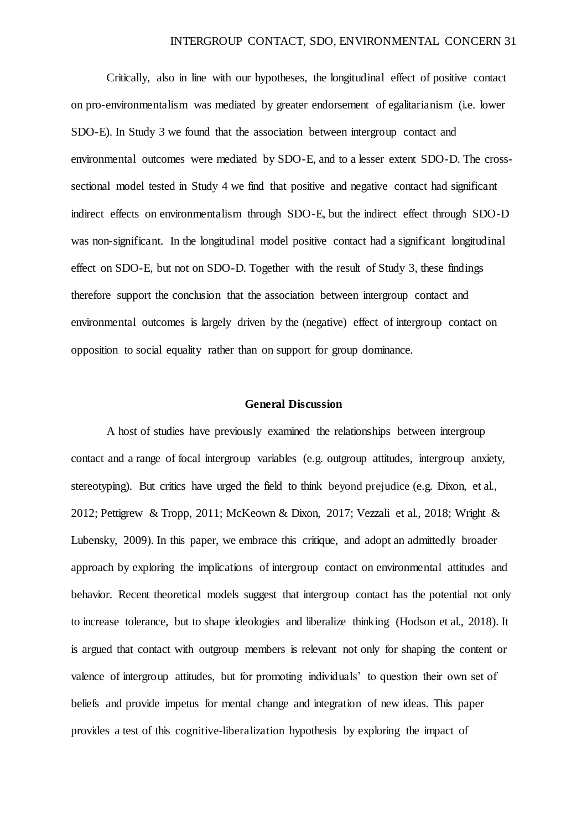Critically, also in line with our hypotheses, the longitudinal effect of positive contact on pro-environmentalism was mediated by greater endorsement of egalitarianism (i.e. lower SDO-E). In Study 3 we found that the association between intergroup contact and environmental outcomes were mediated by SDO-E, and to a lesser extent SDO-D. The crosssectional model tested in Study 4 we find that positive and negative contact had significant indirect effects on environmentalism through SDO-E, but the indirect effect through SDO-D was non-significant. In the longitudinal model positive contact had a significant longitudinal effect on SDO-E, but not on SDO-D. Together with the result of Study 3, these findings therefore support the conclusion that the association between intergroup contact and environmental outcomes is largely driven by the (negative) effect of intergroup contact on opposition to social equality rather than on support for group dominance.

#### **General Discussion**

A host of studies have previously examined the relationships between intergroup contact and a range of focal intergroup variables (e.g. outgroup attitudes, intergroup anxiety, stereotyping). But critics have urged the field to think beyond prejudice (e.g. Dixon, et al., 2012; Pettigrew & Tropp, 2011; McKeown & Dixon, 2017; Vezzali et al., 2018; Wright & Lubensky, 2009). In this paper, we embrace this critique, and adopt an admittedly broader approach by exploring the implications of intergroup contact on environmental attitudes and behavior. Recent theoretical models suggest that intergroup contact has the potential not only to increase tolerance, but to shape ideologies and liberalize thinking (Hodson et al., 2018). It is argued that contact with outgroup members is relevant not only for shaping the content or valence of intergroup attitudes, but for promoting individuals' to question their own set of beliefs and provide impetus for mental change and integration of new ideas. This paper provides a test of this cognitive-liberalization hypothesis by exploring the impact of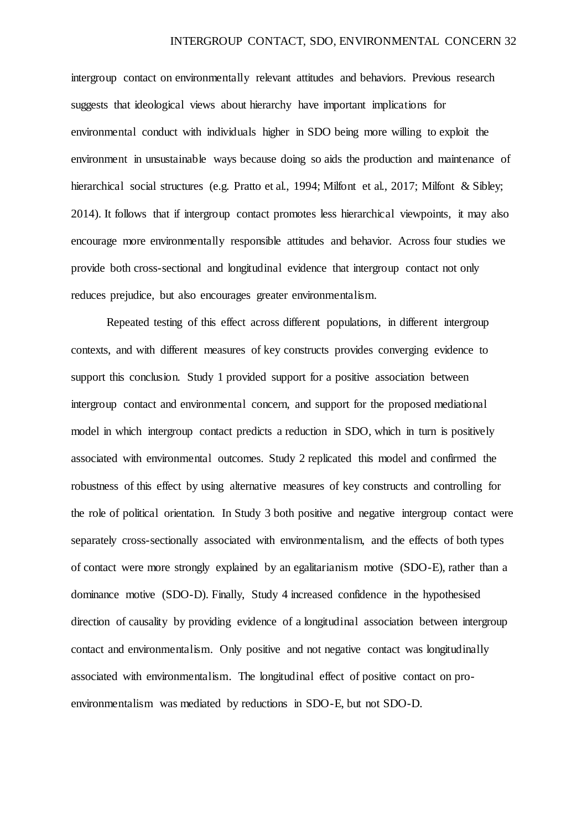intergroup contact on environmentally relevant attitudes and behaviors. Previous research suggests that ideological views about hierarchy have important implications for environmental conduct with individuals higher in SDO being more willing to exploit the environment in unsustainable ways because doing so aids the production and maintenance of hierarchical social structures (e.g. Pratto et al., 1994; Milfont et al., 2017; Milfont & Sibley; 2014). It follows that if intergroup contact promotes less hierarchical viewpoints, it may also encourage more environmentally responsible attitudes and behavior. Across four studies we provide both cross-sectional and longitudinal evidence that intergroup contact not only reduces prejudice, but also encourages greater environmentalism.

Repeated testing of this effect across different populations, in different intergroup contexts, and with different measures of key constructs provides converging evidence to support this conclusion. Study 1 provided support for a positive association between intergroup contact and environmental concern, and support for the proposed mediational model in which intergroup contact predicts a reduction in SDO, which in turn is positively associated with environmental outcomes. Study 2 replicated this model and confirmed the robustness of this effect by using alternative measures of key constructs and controlling for the role of political orientation. In Study 3 both positive and negative intergroup contact were separately cross-sectionally associated with environmentalism, and the effects of both types of contact were more strongly explained by an egalitarianism motive (SDO-E), rather than a dominance motive (SDO-D). Finally, Study 4 increased confidence in the hypothesised direction of causality by providing evidence of a longitudinal association between intergroup contact and environmentalism. Only positive and not negative contact was longitudinally associated with environmentalism. The longitudinal effect of positive contact on proenvironmentalism was mediated by reductions in SDO-E, but not SDO-D.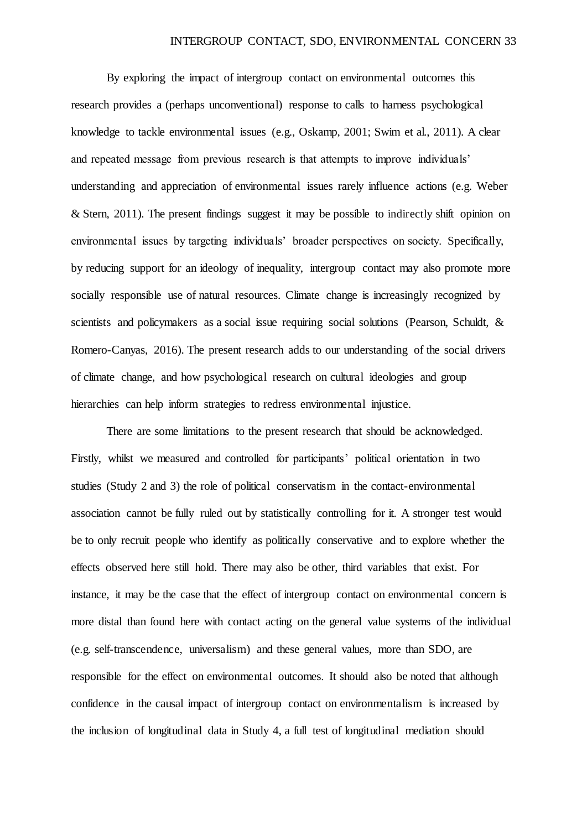By exploring the impact of intergroup contact on environmental outcomes this research provides a (perhaps unconventional) response to calls to harness psychological knowledge to tackle environmental issues (e.g., Oskamp, 2001; Swim et al., 2011). A clear and repeated message from previous research is that attempts to improve individuals' understanding and appreciation of environmental issues rarely influence actions (e.g. Weber & Stern,  $2011$ ). The present findings suggest it may be possible to indirectly shift opinion on environmental issues by targeting individuals' broader perspectives on society. Specifically, by reducing support for an ideology of inequality, intergroup contact may also promote more socially responsible use of natural resources. Climate change is increasingly recognized by scientists and policymakers as a social issue requiring social solutions (Pearson, Schuldt, & Romero-Canyas, 2016). The present research adds to our understanding of the social drivers of climate change, and how psychological research on cultural ideologies and group hierarchies can help inform strategies to redress environmental injustice.

There are some limitations to the present research that should be acknowledged. Firstly, whilst we measured and controlled for participants' political orientation in two studies (Study 2 and 3) the role of political conservatism in the contact-environmental association cannot be fully ruled out by statistically controlling for it. A stronger test would be to only recruit people who identify as politically conservative and to explore whether the effects observed here still hold. There may also be other, third variables that exist. For instance, it may be the case that the effect of intergroup contact on environmental concern is more distal than found here with contact acting on the general value systems of the individual (e.g. self-transcendence, universalism) and these general values, more than SDO, are responsible for the effect on environmental outcomes. It should also be noted that although confidence in the causal impact of intergroup contact on environmentalism is increased by the inclusion of longitudinal data in Study 4, a full test of longitudinal mediation should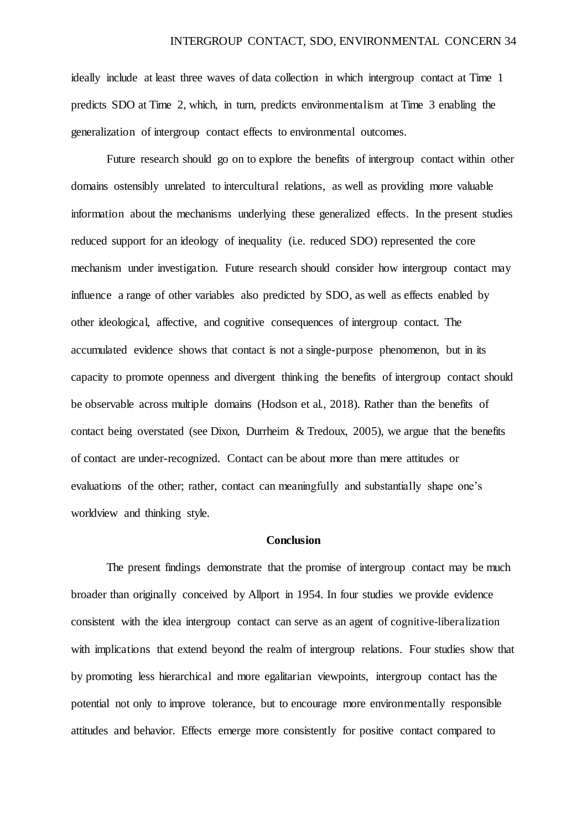ideally include at least three waves of data collection in which intergroup contact at Time 1 predicts SDO at Time 2, which, in turn, predicts environmentalism at Time 3 enabling the generalization of intergroup contact effects to environmental outcomes.

Future research should go on to explore the benefits of intergroup contact within other domains ostensibly unrelated to intercultural relations, as well as providing more valuable information about the mechanisms underlying these generalized effects. In the present studies reduced support for an ideology of inequality (i.e. reduced SDO) represented the core mechanism under investigation. Future research should consider how intergroup contact may influence a range of other variables also predicted by SDO, as well as effects enabled by other ideological, affective, and cognitive consequences of intergroup contact. The accumulated evidence shows that contact is not a single-purpose phenomenon, but in its capacity to promote openness and divergent thinking the benefits of intergroup contact should be observable across multiple domains (Hodson et al., 2018). Rather than the benefits of contact being overstated (see Dixon, Durrheim & Tredoux, 2005), we argue that the benefits of contact are under-recognized. Contact can be about more than mere attitudes or evaluations of the other; rather, contact can meaningfully and substantially shape one's worldview and thinking style.

#### **Conclusion**

The present findings demonstrate that the promise of intergroup contact may be much broader than originally conceived by Allport in 1954. In four studies we provide evidence consistent with the idea intergroup contact can serve as an agent of cognitive-liberalization with implications that extend beyond the realm of intergroup relations. Four studies show that by promoting less hierarchical and more egalitarian viewpoints, intergroup contact has the potential not only to improve tolerance, but to encourage more environmentally responsible attitudes and behavior. Effects emerge more consistently for positive contact compared to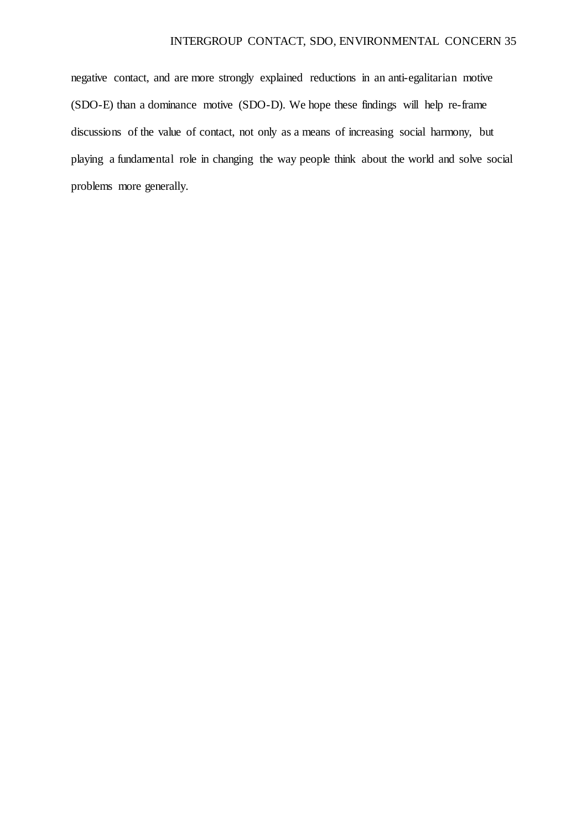negative contact, and are more strongly explained reductions in an anti-egalitarian motive (SDO-E) than a dominance motive (SDO-D). We hope these findings will help re-frame discussions of the value of contact, not only as a means of increasing social harmony, but playing a fundamental role in changing the way people think about the world and solve social problems more generally.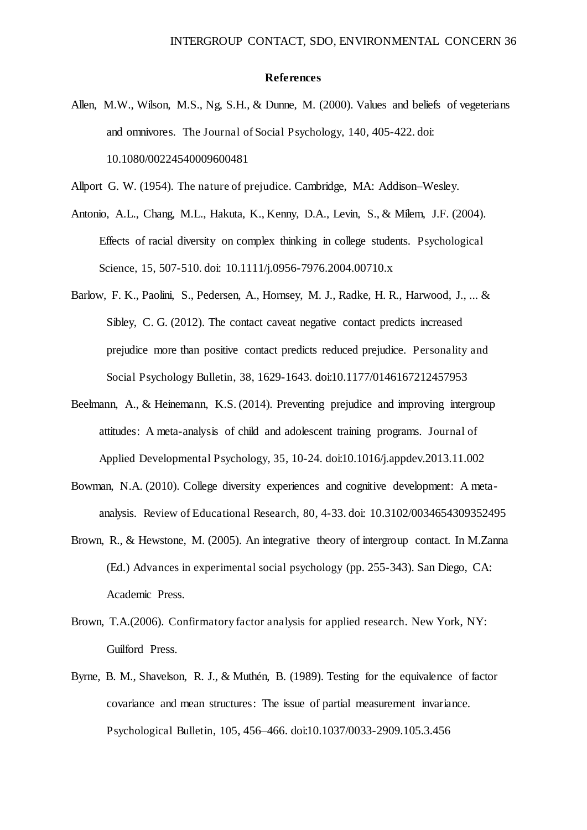#### **References**

- Allen, M.W., Wilson, M.S., Ng, S.H., & Dunne, M. (2000). Values and beliefs of vegeterians and omnivores. The Journal of Social Psychology, 140, 405-422. doi: 10.1080/00224540009600481
- Allport G. W. (1954). The nature of prejudice. Cambridge, MA: Addison–Wesley.
- Antonio, A.L., Chang, M.L., Hakuta, K., Kenny, D.A., Levin, S., & Milem, J.F. (2004). Effects of racial diversity on complex thinking in college students. Psychological Science, 15, 507-510. doi: 10.1111/j.0956-7976.2004.00710.x
- Barlow, F. K., Paolini, S., Pedersen, A., Hornsey, M. J., Radke, H. R., Harwood, J., ... & Sibley, C. G. (2012). The contact caveat negative contact predicts increased prejudice more than positive contact predicts reduced prejudice. Personality and Social Psychology Bulletin, 38, 1629-1643. doi:10.1177/0146167212457953
- Beelmann, A., & Heinemann, K.S. (2014). Preventing prejudice and improving intergroup attitudes: A meta-analysis of child and adolescent training programs. Journal of Applied Developmental Psychology, 35, 10-24. doi:10.1016/j.appdev.2013.11.002
- Bowman, N.A. (2010). College diversity experiences and cognitive development: A metaanalysis. Review of Educational Research, 80, 4-33. doi: 10.3102/0034654309352495
- Brown, R., & Hewstone, M. (2005). An integrative theory of intergroup contact. In M.Zanna (Ed.) Advances in experimental social psychology (pp. 255-343). San Diego, CA: Academic Press.
- Brown, T.A.(2006). Confirmatory factor analysis for applied research. New York, NY: Guilford Press.
- Byrne, B. M., Shavelson, R. J., & Muthén, B. (1989). Testing for the equivalence of factor covariance and mean structures: The issue of partial measurement invariance. Psychological Bulletin, 105, 456–466. doi:10.1037/0033-2909.105.3.456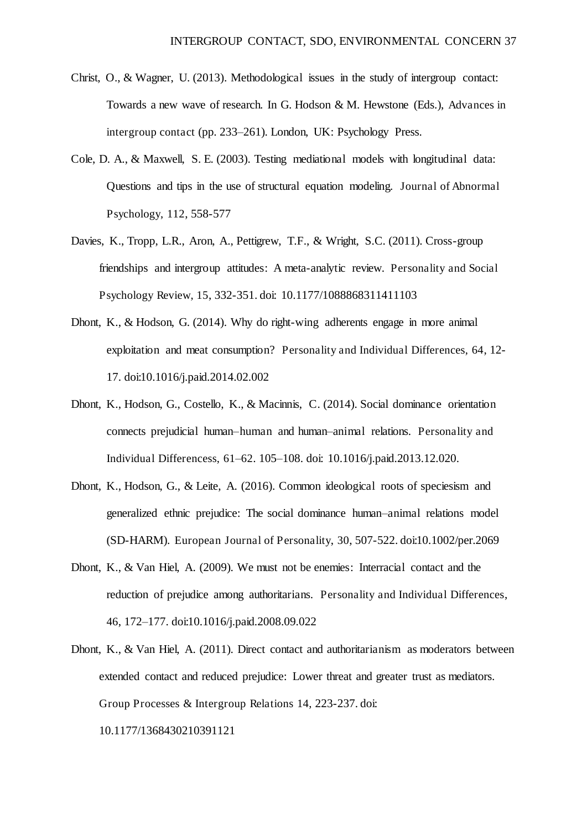- Christ, O., & Wagner, U. (2013). Methodological issues in the study of intergroup contact: Towards a new wave of research. In G. Hodson & M. Hewstone (Eds.), Advances in intergroup contact (pp. 233–261). London, UK: Psychology Press.
- Cole, D. A., & Maxwell, S. E. (2003). Testing mediational models with longitudinal data: Questions and tips in the use of structural equation modeling. Journal of Abnormal Psychology, 112, 558-577
- Davies, K., Tropp, L.R., Aron, A., Pettigrew, T.F., & Wright, S.C. (2011). Cross-group friendships and intergroup attitudes: A meta-analytic review. Personality and Social Psychology Review, 15, 332-351. doi: 10.1177/1088868311411103
- Dhont, K., & Hodson, G. (2014). Why do right-wing adherents engage in more animal exploitation and meat consumption? Personality and Individual Differences, 64, 12- 17. doi:10.1016/j.paid.2014.02.002
- Dhont, K., Hodson, G., Costello, K., & Macinnis, C. (2014). Social dominance orientation connects prejudicial human–human and human–animal relations. Personality and Individual Differencess, 61*–*62. 105–108. doi: 10.1016/j.paid.2013.12.020.
- Dhont, K., Hodson, G., & Leite, A. (2016). Common ideological roots of speciesism and generalized ethnic prejudice: The social dominance human–animal relations model (SD-HARM). European Journal of Personality, 30, 507-522. doi:10.1002/per.2069
- Dhont, K., & Van Hiel, A. (2009). We must not be enemies: Interracial contact and the reduction of prejudice among authoritarians. Personality and Individual Differences, 46, 172–177. doi:10.1016/j.paid.2008.09.022
- Dhont, K., & Van Hiel, A. (2011). Direct contact and authoritarianism as moderators between extended contact and reduced prejudice: Lower threat and greater trust as mediators. Group Processes & Intergroup Relations 14, 223-237. doi:

10.1177/1368430210391121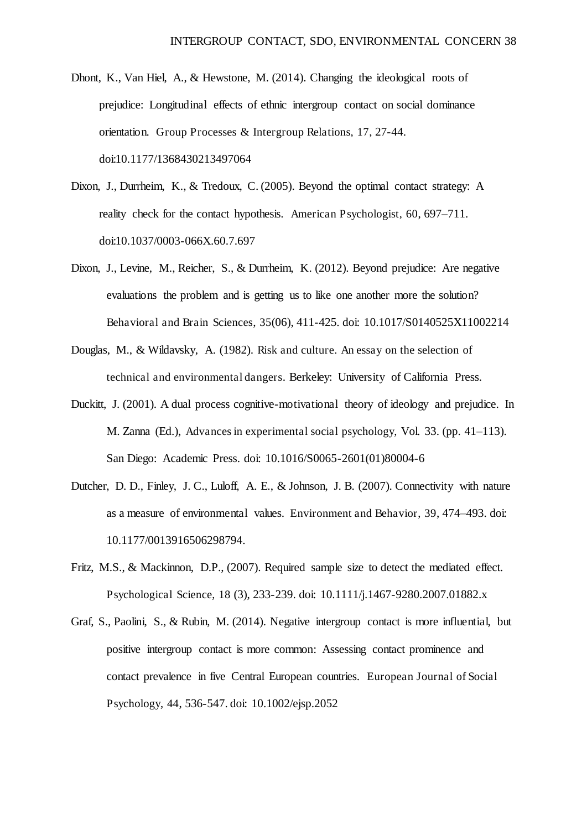- Dhont, K., Van Hiel, A., & Hewstone, M. (2014). Changing the ideological roots of prejudice: Longitudinal effects of ethnic intergroup contact on social dominance orientation. Group Processes & Intergroup Relations, 17, 27-44. doi:10.1177/1368430213497064
- Dixon, J., Durrheim, K., & Tredoux, C. (2005). Beyond the optimal contact strategy: A reality check for the contact hypothesis. American Psychologist, 60, 697–711. doi:10.1037/0003-066X.60.7.697
- Dixon, J., Levine, M., Reicher, S., & Durrheim, K. (2012). Beyond prejudice: Are negative evaluations the problem and is getting us to like one another more the solution? Behavioral and Brain Sciences, 35(06), 411-425. doi: 10.1017/S0140525X11002214
- Douglas, M., & Wildavsky, A. (1982). Risk and culture. An essay on the selection of technical and environmental dangers. Berkeley: University of California Press.
- Duckitt, J. (2001). A dual process cognitive-motivational theory of ideology and prejudice. In M. Zanna (Ed.), Advances in experimental social psychology, Vol. 33. (pp. 41–113). San Diego: Academic Press. doi: 10.1016/S0065-2601(01)80004-6
- Dutcher, D. D., Finley, J. C., Luloff, A. E., & Johnson, J. B. (2007). Connectivity with nature as a measure of environmental values. Environment and Behavior, 39, 474–493. doi: 10.1177/0013916506298794.
- Fritz, M.S., & Mackinnon, D.P., (2007). Required sample size to detect the mediated effect. Psychological Science, 18 (3), 233-239. doi: 10.1111/j.1467-9280.2007.01882.x
- Graf, S., Paolini, S., & Rubin, M. (2014). Negative intergroup contact is more influential, but positive intergroup contact is more common: Assessing contact prominence and contact prevalence in five Central European countries. European Journal of Social Psychology, 44, 536-547. doi: 10.1002/ejsp.2052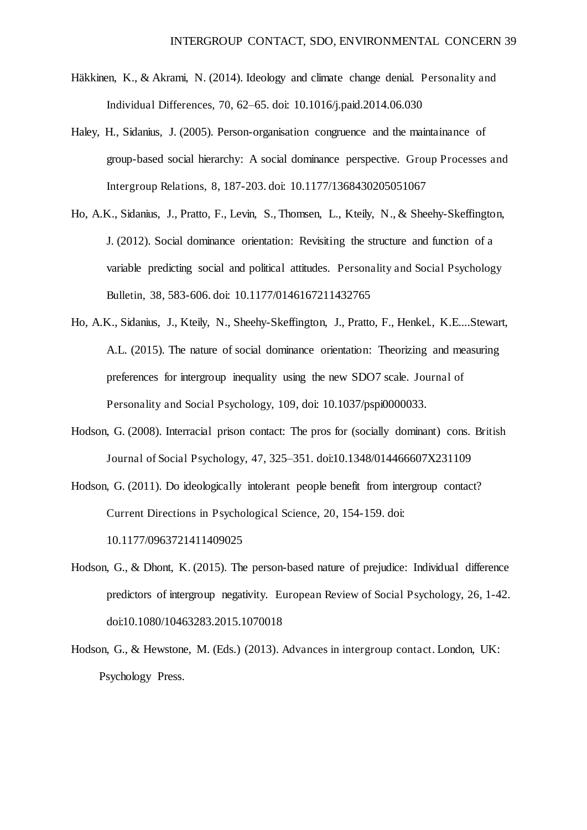- Häkkinen, K., & Akrami, N. (2014). Ideology and climate change denial. Personality and Individual Differences, 70, 62–65. doi: [10.1016/j.paid.2014.06.030](https://doi.org/10.1016/j.paid.2014.06.030)
- Haley, H., Sidanius, J. (2005). Person-organisation congruence and the maintainance of group-based social hierarchy: A social dominance perspective. Group Processes and Intergroup Relations, 8, 187-203. doi: [10.1177/1368430205051067](https://doi.org/10.1177%2F1368430205051067)
- Ho, A.K., Sidanius, J., Pratto, F., Levin, S., Thomsen, L., Kteily, N., & Sheehy-Skeffington, J. (2012). Social dominance orientation: Revisiting the structure and function of a variable predicting social and political attitudes. Personality and Social Psychology Bulletin, 38, 583-606. doi: 10.1177/0146167211432765
- Ho, A.K., Sidanius, J., Kteily, N., Sheehy-Skeffington, J., Pratto, F., Henkel., K.E....Stewart, A.L. (2015). The nature of social dominance orientation: Theorizing and measuring preferences for intergroup inequality using the new SDO7 scale. Journal of Personality and Social Psychology, 109, doi: 10.1037/pspi0000033.
- Hodson, G. (2008). Interracial prison contact: The pros for (socially dominant) cons. British Journal of Social Psychology, 47, 325–351. doi:10.1348/014466607X231109
- Hodson, G. (2011). Do ideologically intolerant people benefit from intergroup contact? Current Directions in Psychological Science, 20, 154-159. doi: 10.1177/0963721411409025
- Hodson, G., & Dhont, K. (2015). The person-based nature of prejudice: Individual difference predictors of intergroup negativity. European Review of Social Psychology, 26, 1-42. doi:10.1080/10463283.2015.1070018
- Hodson, G., & Hewstone, M. (Eds.) (2013). Advances in intergroup contact. London, UK: Psychology Press.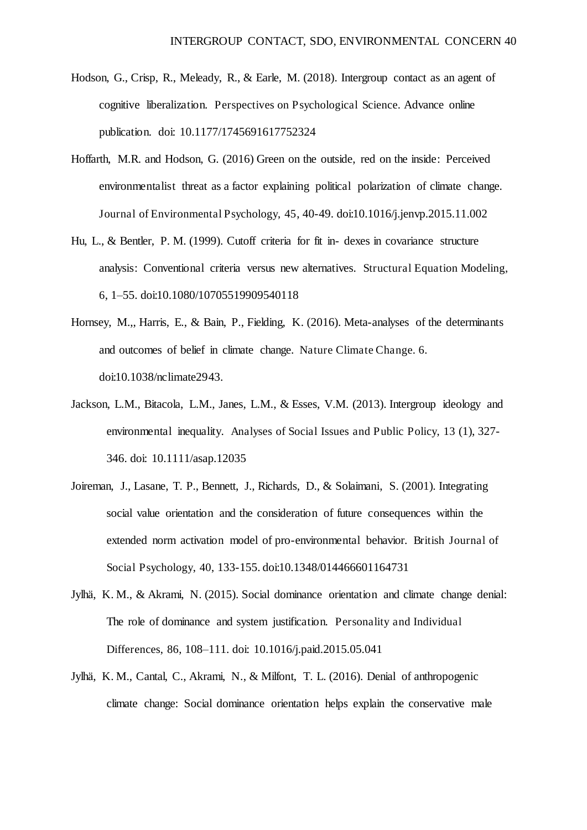- Hodson, G., Crisp, R., Meleady, R., & Earle, M. (2018). Intergroup contact as an agent of cognitive liberalization. Perspectives on Psychological Science. Advance online publication. doi: 10.1177/1745691617752324
- Hoffarth, M.R. and Hodson, G. (2016) Green on the outside, red on the inside: Perceived environmentalist threat as a factor explaining political polarization of climate change. Journal of Environmental Psychology, 45, 40-49. doi:[10.1016/j.jenvp.2015.11.002](https://doi.org/10.1016/j.jenvp.2015.11.002)
- Hu, L., & Bentler, P. M. (1999). Cutoff criteria for fit in- dexes in covariance structure analysis: Conventional criteria versus new alternatives. Structural Equation Modeling, 6, 1–55. doi:10.1080/10705519909540118
- Hornsey, M.,, Harris, E., & Bain, P., Fielding, K. (2016). Meta-analyses of the determinants and outcomes of belief in climate change. Nature Climate Change. 6. doi:10.1038/nclimate2943.
- Jackson, L.M., Bitacola, L.M., Janes, L.M., & Esses, V.M. (2013). Intergroup ideology and environmental inequality. Analyses of Social Issues and Public Policy, 13 (1), 327- 346. doi: 10.1111/asap.12035
- Joireman, J., Lasane, T. P., Bennett, J., Richards, D., & Solaimani, S. (2001). Integrating social value orientation and the consideration of future consequences within the extended norm activation model of pro-environmental behavior. British Journal of Social Psychology, 40, 133-155. doi:10.1348/014466601164731
- Jylhä, K. M., & Akrami, N. (2015). Social dominance orientation and climate change denial: The role of dominance and system justification. Personality and Individual Differences, 86, 108–111. doi: [10.1016/j.paid.2015.05.041](https://doi.org/10.1016/j.paid.2015.05.041)
- Jylhä, K. M., Cantal, C., Akrami, N., & Milfont, T. L. (2016). Denial of anthropogenic climate change: Social dominance orientation helps explain the conservative male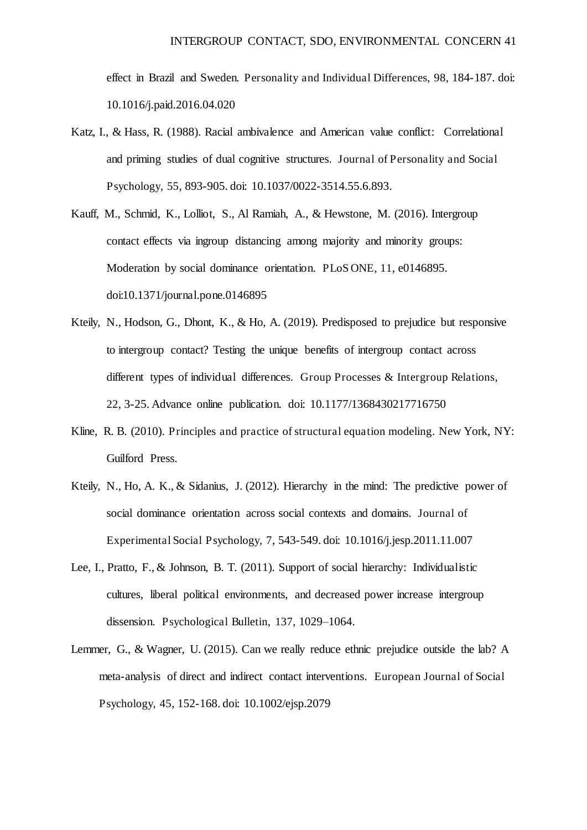effect in Brazil and Sweden. Personality and Individual Differences, 98, 184-187. doi: [10.1016/j.paid.2016.04.020](https://doi.org/10.1016/j.paid.2016.04.020) 

- Katz, I., & Hass, R. (1988). Racial ambivalence and American value conflict: Correlational and priming studies of dual cognitive structures. Journal of Personality and Social Psychology, 55, 893-905. doi: 10.1037/0022-3514.55.6.893.
- Kauff, M., Schmid, K., Lolliot, S., Al Ramiah, A., & Hewstone, M. (2016). Intergroup contact effects via ingroup distancing among majority and minority groups: Moderation by social dominance orientation. PLoS ONE, 11, e0146895. doi:10.1371/journal.pone.0146895
- Kteily, N., Hodson, G., Dhont, K., & Ho, A. (2019). Predisposed to prejudice but responsive to intergroup contact? Testing the unique benefits of intergroup contact across different types of individual differences. Group Processes & Intergroup Relations, 22, 3-25. Advance online publication. doi: 10.1177/1368430217716750
- Kline, R. B. (2010). Principles and practice of structural equation modeling. New York, NY: Guilford Press.
- Kteily, N., Ho, A. K., & Sidanius, J. (2012). Hierarchy in the mind: The predictive power of social dominance orientation across social contexts and domains. Journal of Experimental Social Psychology, 7, 543-549. doi: 10.1016/j.jesp.2011.11.007
- Lee, I., Pratto, F., & Johnson, B. T. (2011). Support of social hierarchy: Individualistic cultures, liberal political environments, and decreased power increase intergroup dissension. Psychological Bulletin, 137, 1029–1064.
- Lemmer, G., & Wagner, U. (2015). Can we really reduce ethnic prejudice outside the lab? A meta-analysis of direct and indirect contact interventions. European Journal of Social Psychology, 45, 152-168. doi: 10.1002/ejsp.2079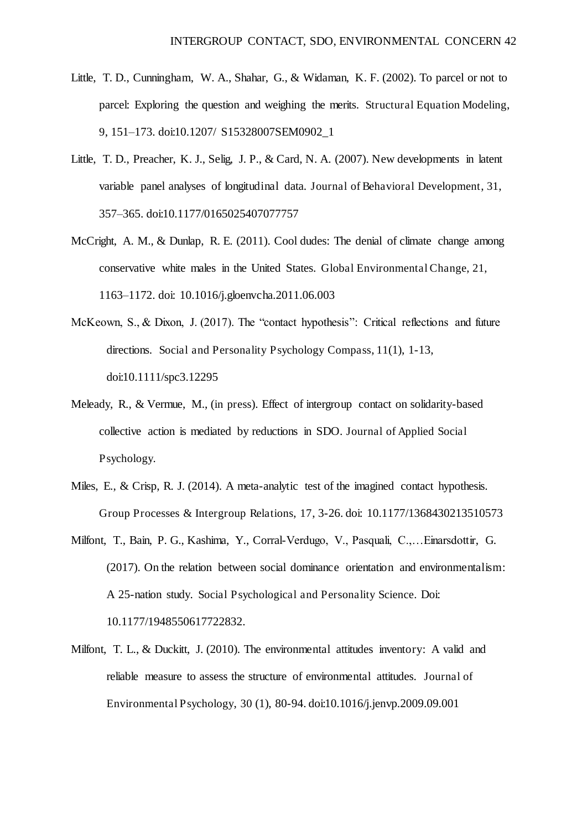- Little, T. D., Cunningham, W. A., Shahar, G., & Widaman, K. F. (2002). To parcel or not to parcel: Exploring the question and weighing the merits. Structural Equation Modeling, 9, 151–173. doi:10.1207/ S15328007SEM0902\_1
- Little, T. D., Preacher, K. J., Selig, J. P., & Card, N. A. (2007). New developments in latent variable panel analyses of longitudinal data. Journal of Behavioral Development, 31, 357–365. doi:10.1177/0165025407077757
- McCright, A. M., & Dunlap, R. E. (2011). Cool dudes: The denial of climate change among conservative white males in the United States. Global Environmental Change, 21, 1163–1172. doi: 10.1016/j.gloenvcha.2011.06.003
- McKeown, S., & Dixon, J. (2017). The "contact hypothesis": Critical reflections and future directions. Social and Personality Psychology Compass, 11(1), 1-13, doi:10.1111/spc3.12295
- Meleady, R., & Vermue, M., (in press). Effect of intergroup contact on solidarity-based collective action is mediated by reductions in SDO. Journal of Applied Social Psychology.
- Miles, E., & Crisp, R. J. (2014). A meta-analytic test of the imagined contact hypothesis. Group Processes & Intergroup Relations, 17, 3-26. doi: 10.1177/1368430213510573
- Milfont, T., Bain, P. G., Kashima, Y., Corral-Verdugo, V., Pasquali, C.,…Einarsdottir, G. (2017). On the relation between social dominance orientation and environmentalism: A 25-nation study. Social Psychological and Personality Science. Doi: 10.1177/1948550617722832.
- Milfont, T. L., & Duckitt, J. (2010). The environmental attitudes inventory: A valid and reliable measure to assess the structure of environmental attitudes. Journal of Environmental Psychology, 30 (1), 80-94. doi:10.1016/j.jenvp.2009.09.001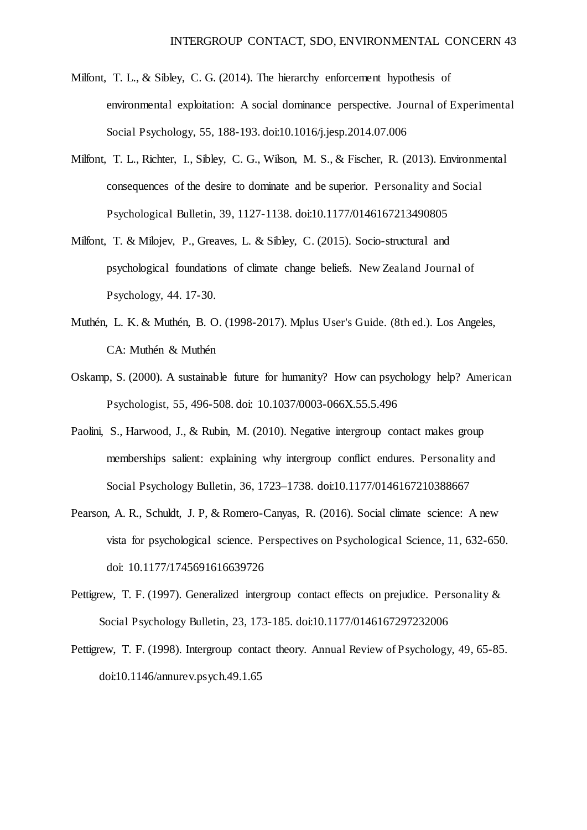- Milfont, T. L., & Sibley, C. G. (2014). The hierarchy enforcement hypothesis of environmental exploitation: A social dominance perspective. Journal of Experimental Social Psychology, 55, 188-193. doi:10.1016/j.jesp.2014.07.006
- Milfont, T. L., Richter, I., Sibley, C. G., Wilson, M. S., & Fischer, R. (2013). Environmental consequences of the desire to dominate and be superior. Personality and Social Psychological Bulletin, 39, 1127-1138. doi:10.1177/0146167213490805
- Milfont, T. & Milojev, P., Greaves, L. & Sibley, C. (2015). Socio-structural and psychological foundations of climate change beliefs. New Zealand Journal of Psychology, 44. 17-30.
- Muthén, L. K. & Muthén, B. O. (1998-2017). Mplus User's Guide. (8th ed.). Los Angeles, CA: Muthén & Muthén
- Oskamp, S. (2000). A sustainable future for humanity? How can psychology help? American Psychologist, 55, 496-508. doi: [10.1037/0003-066X.55.5.496](http://psycnet.apa.org/doi/10.1037/0003-066X.55.5.496)
- Paolini, S., Harwood, J., & Rubin, M. (2010). Negative intergroup contact makes group memberships salient: explaining why intergroup conflict endures. Personality and Social Psychology Bulletin, 36, 1723–1738. doi:10.1177/0146167210388667
- Pearson, A. R., Schuldt, J. P, & Romero-Canyas, R. (2016). Social climate science: A new vista for psychological science. Perspectives on Psychological Science, 11, 632-650. doi: [10.1177/1745691616639726](https://doi.org/10.1177%2F1745691616639726)
- Pettigrew, T. F. (1997). Generalized intergroup contact effects on prejudice. Personality & Social Psychology Bulletin, 23, 173-185. doi:10.1177/0146167297232006
- Pettigrew, T. F. (1998). Intergroup contact theory. Annual Review of Psychology, 49, 65-85. doi:10.1146/annurev.psych.49.1.65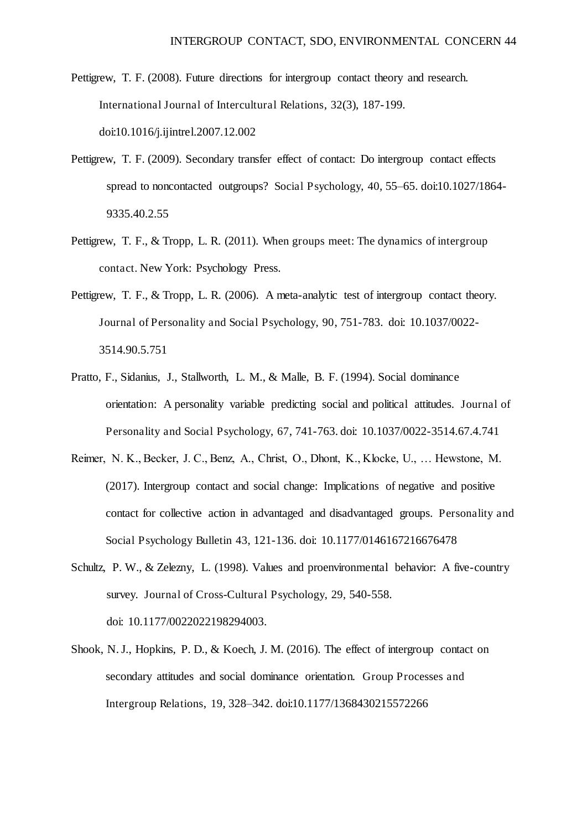- Pettigrew, T. F. (2008). Future directions for intergroup contact theory and research. International Journal of Intercultural Relations, 32(3), 187-199. doi:10.1016/j.ijintrel.2007.12.002
- Pettigrew, T. F. (2009). Secondary transfer effect of contact: Do intergroup contact effects spread to noncontacted outgroups? Social Psychology, 40, 55–65. doi:10.1027/1864- 9335.40.2.55
- Pettigrew, T. F., & Tropp, L. R. (2011). When groups meet: The dynamics of intergroup contact. New York: Psychology Press.
- Pettigrew, T. F., & Tropp, L. R. (2006). A meta-analytic test of intergroup contact theory. Journal of Personality and Social Psychology, 90, 751-783. doi: 10.1037/0022- 3514.90.5.751
- Pratto, F., Sidanius, J., Stallworth, L. M., & Malle, B. F. (1994). Social dominance orientation: A personality variable predicting social and political attitudes. Journal of Personality and Social Psychology, 67, 741-763. doi: 10.1037/0022-3514.67.4.741
- Reimer, N. K., Becker, J. C., Benz, A., Christ, O., Dhont, K., Klocke, U., … Hewstone, M. (2017). Intergroup contact and social change: Implications of negative and positive contact for collective action in advantaged and disadvantaged groups. Personality and Social Psychology Bulletin 43, 121-136. doi: 10.1177/0146167216676478
- Schultz, P. W., & Zelezny, L. (1998). Values and proenvironmental behavior: A five-country survey. Journal of Cross-Cultural Psychology, 29, 540-558. doi: 10.1177/0022022198294003.
- Shook, N. J., Hopkins, P. D., & Koech, J. M. (2016). The effect of intergroup contact on secondary attitudes and social dominance orientation. Group Processes and Intergroup Relations, 19, 328–342. doi:10.1177/1368430215572266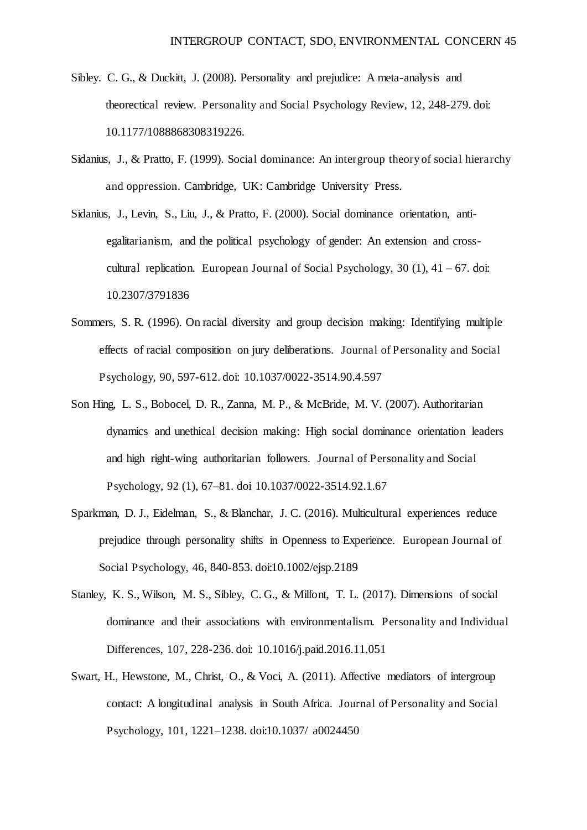- Sibley. C. G., & Duckitt, J. (2008). Personality and prejudice: A meta-analysis and theorectical review. Personality and Social Psychology Review, 12, 248-279. doi: 10.1177/1088868308319226.
- Sidanius, J., & Pratto, F. (1999). Social dominance: An intergroup theory of social hierarchy and oppression. Cambridge, UK: Cambridge University Press.
- Sidanius, J., Levin, S., Liu, J., & Pratto, F. (2000). Social dominance orientation, antiegalitarianism, and the political psychology of gender: An extension and crosscultural replication. European Journal of Social Psychology,  $30$  (1),  $41 - 67$ . doi: 10.2307/3791836
- Sommers, S. R. (1996). On racial diversity and group decision making: Identifying multiple effects of racial composition on jury deliberations. Journal of Personality and Social Psychology, 90, 597-612. doi: 10.1037/0022-3514.90.4.597
- Son Hing, L. S., Bobocel, D. R., Zanna, M. P., & McBride, M. V. (2007). Authoritarian dynamics and unethical decision making: High social dominance orientation leaders and high right-wing authoritarian followers. Journal of Personality and Social Psychology, 92 (1), 67–81. doi 10.1037/0022-3514.92.1.67
- Sparkman, D. J., Eidelman, S., & Blanchar, J. C. (2016). Multicultural experiences reduce prejudice through personality shifts in Openness to Experience. European Journal of Social Psychology, 46, 840-853. doi:10.1002/ejsp.2189
- Stanley, K. S., Wilson, M. S., Sibley, C. G., & Milfont, T. L. (2017). Dimensions of social dominance and their associations with environmentalism. Personality and Individual Differences, 107, 228-236. doi: [10.1016/j.paid.2016.11.051](https://doi.org/10.1016/j.paid.2016.11.051)
- Swart, H., Hewstone, M., Christ, O., & Voci, A. (2011). Affective mediators of intergroup contact: A longitudinal analysis in South Africa. Journal of Personality and Social Psychology, 101, 1221–1238. doi:10.1037/ a0024450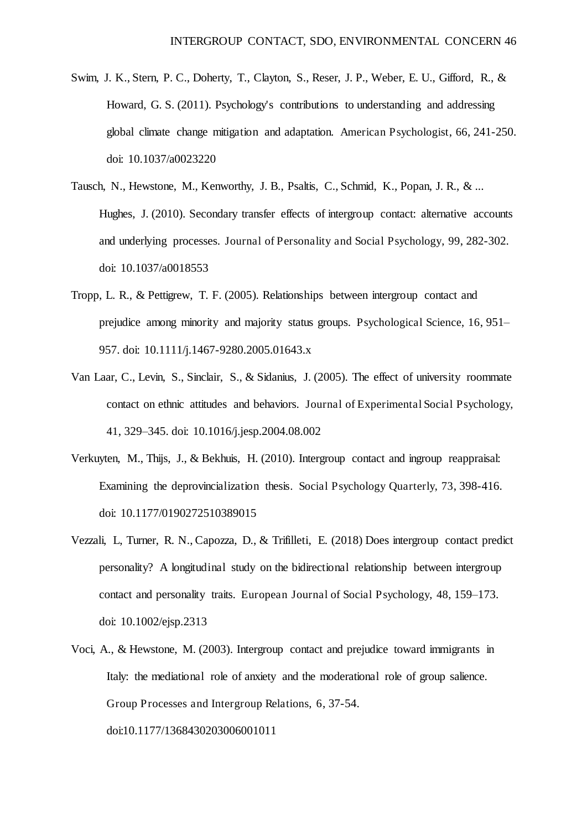- Swim, J. K., Stern, P. C., Doherty, T., Clayton, S., Reser, J. P., Weber, E. U., Gifford, R., & Howard, G. S. (2011). Psychology's contributions to understanding and addressing global climate change mitigation and adaptation. American Psychologist, 66, 241-250. doi: 10.1037/a0023220
- Tausch, N., Hewstone, M., Kenworthy, J. B., Psaltis, C., Schmid, K., Popan, J. R., & ... Hughes, J. (2010). Secondary transfer effects of intergroup contact: alternative accounts and underlying processes. Journal of Personality and Social Psychology, 99, 282-302. doi: 10.1037/a0018553
- Tropp, L. R., & Pettigrew, T. F. (2005). Relationships between intergroup contact and prejudice among minority and majority status groups. Psychological Science, 16, 951– 957. doi: 10.1111/j.1467-9280.2005.01643.x
- Van Laar, C., Levin, S., Sinclair, S., & Sidanius, J. (2005). The effect of university roommate contact on ethnic attitudes and behaviors. Journal of Experimental Social Psychology, 41, 329–345. doi: 10.1016/j.jesp.2004.08.002
- Verkuyten, M., Thijs, J., & Bekhuis, H. (2010). Intergroup contact and ingroup reappraisal: Examining the deprovincialization thesis. Social Psychology Quarterly, 73, 398-416. doi: 10.1177/0190272510389015
- Vezzali, L, Turner, R. N., Capozza, D., & Trifilleti, E. (2018) Does intergroup contact predict personality? A longitudinal study on the bidirectional relationship between intergroup contact and personality traits. European Journal of Social Psychology, 48, 159–173. doi: 10.1002/ejsp.2313
- Voci, A., & Hewstone, M. (2003). Intergroup contact and prejudice toward immigrants in Italy: the mediational role of anxiety and the moderational role of group salience. Group Processes and Intergroup Relations, 6, 37-54. doi:10.1177/1368430203006001011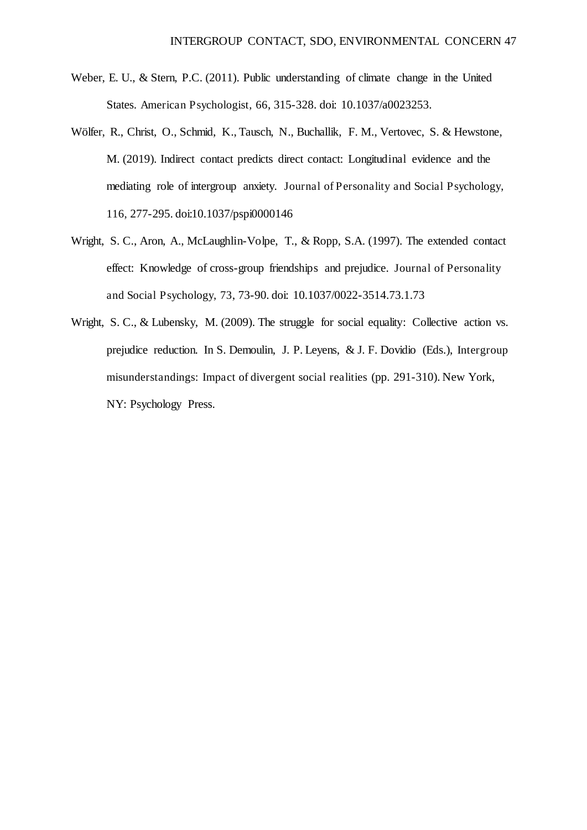- Weber, E. U., & Stern, P.C. (2011). Public understanding of climate change in the United States. American Psychologist, 66, 315-328. doi: 10.1037/a0023253.
- Wölfer, R., Christ, O., Schmid, K., Tausch, N., Buchallik, F. M., Vertovec, S. & Hewstone, M. (2019). Indirect contact predicts direct contact: Longitudinal evidence and the mediating role of intergroup anxiety. Journal of Personality and Social Psychology, 116, 277-295. doi:10.1037/pspi0000146
- Wright, S. C., Aron, A., McLaughlin-Volpe, T., & Ropp, S.A. (1997). The extended contact effect: Knowledge of cross-group friendships and prejudice. Journal of Personality and Social Psychology, 73, 73-90. doi: 10.1037/0022-3514.73.1.73
- Wright, S. C., & Lubensky, M. (2009). The struggle for social equality: Collective action vs. prejudice reduction. In S. Demoulin, J. P. Leyens, & J. F. Dovidio (Eds.), Intergroup misunderstandings: Impact of divergent social realities (pp. 291-310). New York, NY: Psychology Press.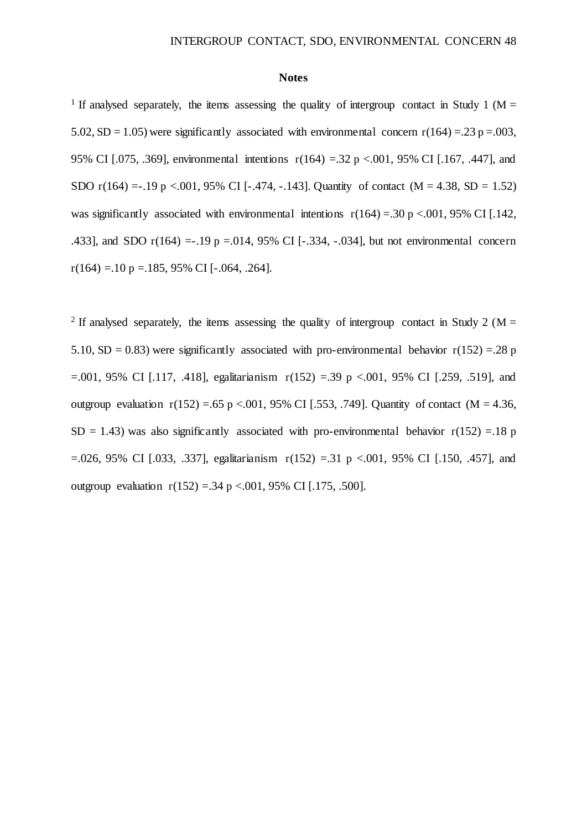#### **Notes**

<sup>1</sup> If analysed separately, the items assessing the quality of intergroup contact in Study 1 ( $M =$ 5.02, SD = 1.05) were significantly associated with environmental concern  $r(164) = .23 p = .003$ , 95% CI [.075, .369], environmental intentions r(164) =.32 p <.001, 95% CI [.167, .447], and SDO r(164) = -.19 p <.001, 95% CI [-.474, -.143]. Quantity of contact (M = 4.38, SD = 1.52) was significantly associated with environmental intentions  $r(164) = .30$  p <.001, 95% CI [.142, .433], and SDO  $r(164) = -.19$  p =.014, 95% CI [-.334, -.034], but not environmental concern  $r(164) = 10 \text{ p} = 185, 95\% \text{ CI}$  [-.064, .264].

<sup>2</sup> If analysed separately, the items assessing the quality of intergroup contact in Study 2 (M = 5.10, SD = 0.83) were significantly associated with pro-environmental behavior  $r(152) = .28$  p  $=0.001$ , 95% CI [.117, .418], egalitarianism  $r(152) = 0.39$  p <.001, 95% CI [.259, .519], and outgroup evaluation  $r(152) = .65$  p <.001, 95% CI [.553, .749]. Quantity of contact (M = 4.36,  $SD = 1.43$ ) was also significantly associated with pro-environmental behavior  $r(152) = 18$  p  $=$ .026, 95% CI [.033, .337], egalitarianism  $r(152) = 0.31$  p <.001, 95% CI [.150, .457], and outgroup evaluation  $r(152) = .34$  p <.001, 95% CI [.175, .500].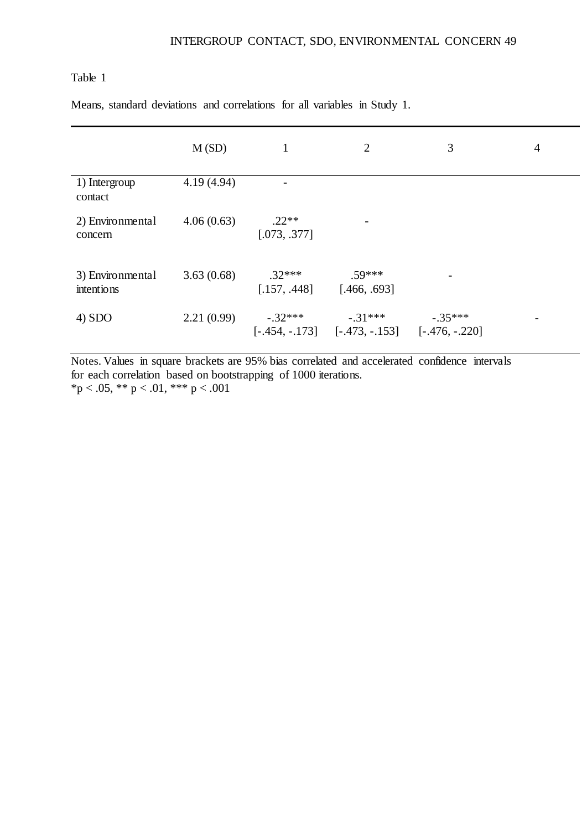Means, standard deviations and correlations for all variables in Study 1.

|                                | M(SD)      | 1                        | $\overline{2}$                                                  | 3         | 4 |
|--------------------------------|------------|--------------------------|-----------------------------------------------------------------|-----------|---|
| 1) Intergroup<br>contact       | 4.19(4.94) |                          |                                                                 |           |   |
| 2) Environmental<br>concern    | 4.06(0.63) | $.22**$<br>[.073, .377]  | $\overline{\phantom{a}}$                                        |           |   |
| 3) Environmental<br>intentions | 3.63(0.68) | $.32***$<br>[.157, .448] | $.59***$<br>[.466, .693]                                        |           |   |
| 4) SDO                         | 2.21(0.99) | $-.32***$                | $-.31***$<br>$[-.454, -.173]$ $[-.473, -.153]$ $[-.476, -.220]$ | $-.35***$ | - |

Notes. Values in square brackets are 95% bias correlated and accelerated confidence intervals for each correlation based on bootstrapping of 1000 iterations. \*p < .05, \*\* p < .01, \*\*\* p < .001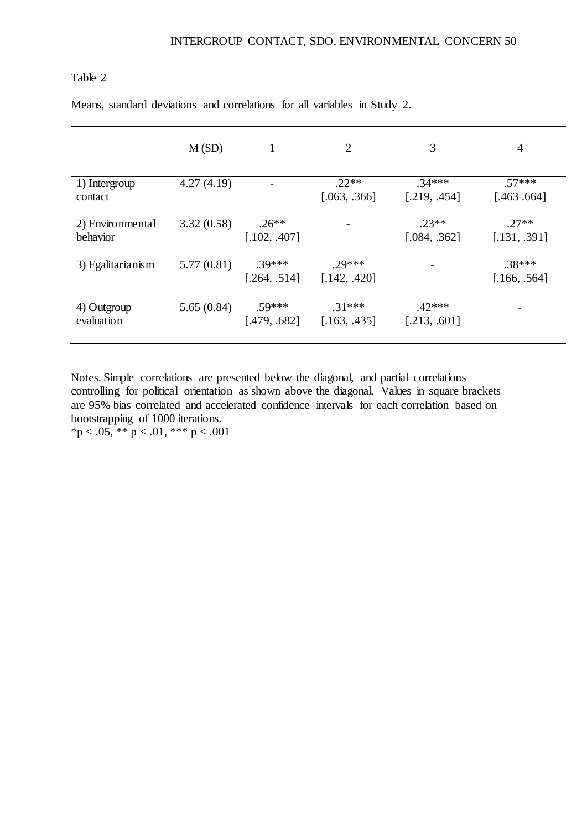Means, standard deviations and correlations for all variables in Study 2.

|                              | M(SD)      | 1                        | 2                        | 3                        | 4                        |
|------------------------------|------------|--------------------------|--------------------------|--------------------------|--------------------------|
| 1) Intergroup<br>contact     | 4.27(4.19) |                          | $.22**$<br>[.063, .366]  | $.34***$<br>[.219, .454] | $.57***$<br>[.463, .664] |
| 2) Environmental<br>behavior | 3.32(0.58) | $.26**$<br>[.102, .407]  |                          | $.23**$<br>[.084, .362]  | $.27**$<br>[.131, .391]  |
| 3) Egalitarianism            | 5.77(0.81) | $.39***$<br>[.264, .514] | $.29***$<br>[.142, .420] |                          | $.38***$<br>[.166, .564] |
| 4) Outgroup<br>evaluation    | 5.65(0.84) | $.59***$<br>[.479, .682] | $.31***$<br>[.163, .435] | $.42***$<br>[.213, .601] |                          |

Notes. Simple correlations are presented below the diagonal, and partial correlations controlling for political orientation as shown above the diagonal. Values in square brackets are 95% bias correlated and accelerated confidence intervals for each correlation based on bootstrapping of 1000 iterations.

\*p < .05, \*\* p < .01, \*\*\* p < .001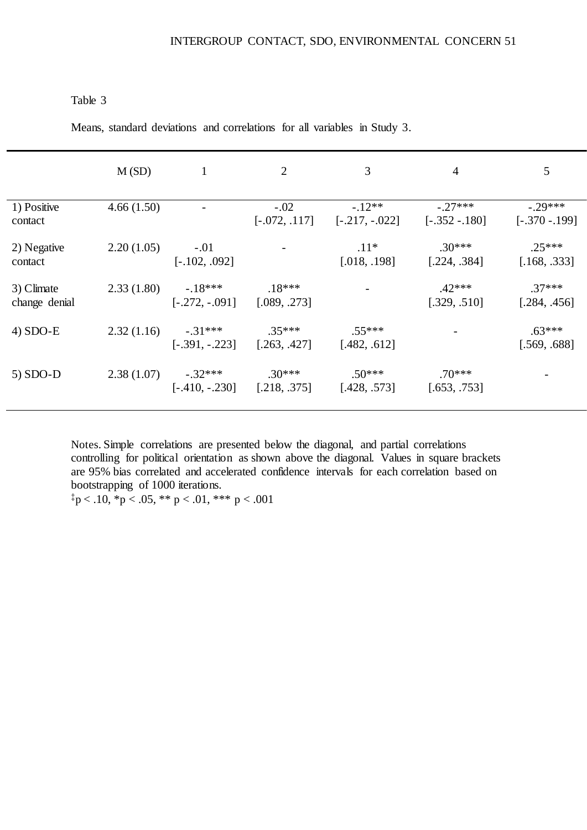Means, standard deviations and correlations for all variables in Study 3.

|                             | M(SD)      | $\mathbf{1}$                                | 2                         | 3                             | $\overline{4}$                | 5                           |
|-----------------------------|------------|---------------------------------------------|---------------------------|-------------------------------|-------------------------------|-----------------------------|
| 1) Positive<br>contact      | 4.66(1.50) | $\overline{\phantom{a}}$                    | $-.02$<br>$[-.072, .117]$ | $-0.12**$<br>$[-.217, -.022]$ | $-.27***$<br>$[-.352 - .180]$ | $-.29***$<br>$[-.370-.199]$ |
| 2) Negative<br>contact      | 2.20(1.05) | $-.01$<br>$[-.102, .092]$                   |                           | $.11*$<br>[.018, .198]        | $.30***$<br>[.224, .384]      | $.25***$<br>[.168, .333]    |
| 3) Climate<br>change denial | 2.33(1.80) | $-18***$<br>$[-.272, -.091]$                | $.18***$<br>[.089, .273]  |                               | $.42***$<br>[.329, .510]      | $.37***$<br>[.284, .456]    |
| $4) SDO-E$                  | 2.32(1.16) | $-31***$<br>$[-.391, -.223]$ $[.263, .427]$ | $.35***$                  | $.55***$<br>[.482, .612]      |                               | $.63***$<br>[.569, .688]    |
| $5) SDO-D$                  | 2.38(1.07) | $-.32***$<br>$[-.410, -.230]$               | $.30***$<br>[.218, .375]  | $.50***$<br>[.428, .573]      | $.70***$<br>[.653, .753]      |                             |

Notes. Simple correlations are presented below the diagonal, and partial correlations controlling for political orientation as shown above the diagonal. Values in square brackets are 95% bias correlated and accelerated confidence intervals for each correlation based on bootstrapping of 1000 iterations.

 $p < .10, \times p < .05, \times p < .01, \times \times p < .001$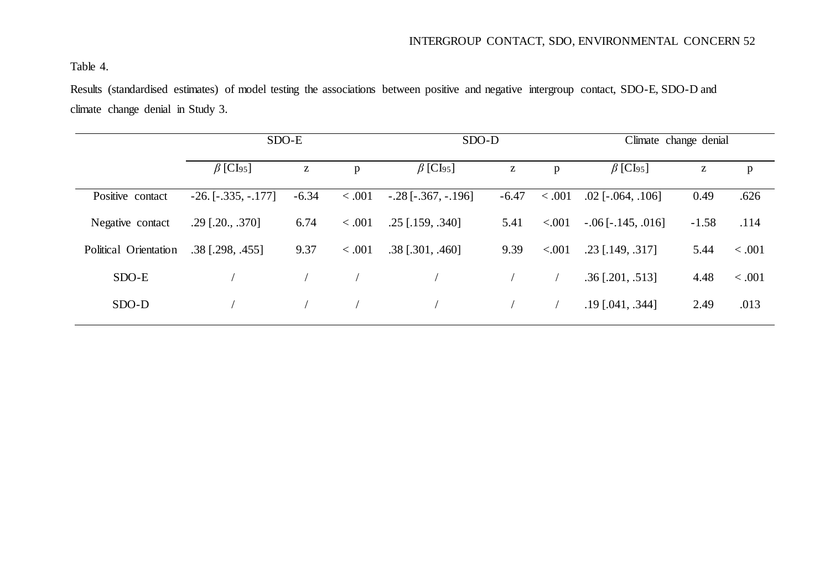Table 4.

Results (standardised estimates) of model testing the associations between positive and negative intergroup contact, SDO-E, SDO-D and climate change denial in Study 3.

|                       | $SDO-E$                     |                    |        | SDO-D                       |         |         | Climate change denial       |         |              |  |
|-----------------------|-----------------------------|--------------------|--------|-----------------------------|---------|---------|-----------------------------|---------|--------------|--|
|                       | $\beta$ [CI <sub>95</sub> ] | Z<br>p             |        | $\beta$ [CI <sub>95</sub> ] | Z       |         | $\beta$ [CI <sub>95</sub> ] | Z       | $\mathbf{p}$ |  |
| Positive contact      | $-26.$ [ $-.335, -.177$ ]   | < 0.001<br>$-6.34$ |        | $-.28$ [ $-.367, -.196$ ]   | $-6.47$ | < .001  | $.02$ [ $-.064, .106$ ]     | 0.49    | .626         |  |
| Negative contact      | $.29$ [.20., .370]          | 6.74<br>< .001     |        | $.25$ [.159, .340]          | 5.41    | < 0.001 | $-.06$ [ $-.145, .016$ ]    | $-1.58$ | .114         |  |
| Political Orientation | .38 [.298, .455]            | 9.37               | < .001 | $.38$ [.301, .460]          | 9.39    | < .001  | $.23$ [.149, .317]          | 5.44    | < .001       |  |
| SDO-E                 |                             |                    |        |                             |         |         | $.36$ [.201, .513]          | 4.48    | < .001       |  |
| SDO-D                 |                             |                    |        |                             |         |         | $.19$ [.041, .344]          | 2.49    | .013         |  |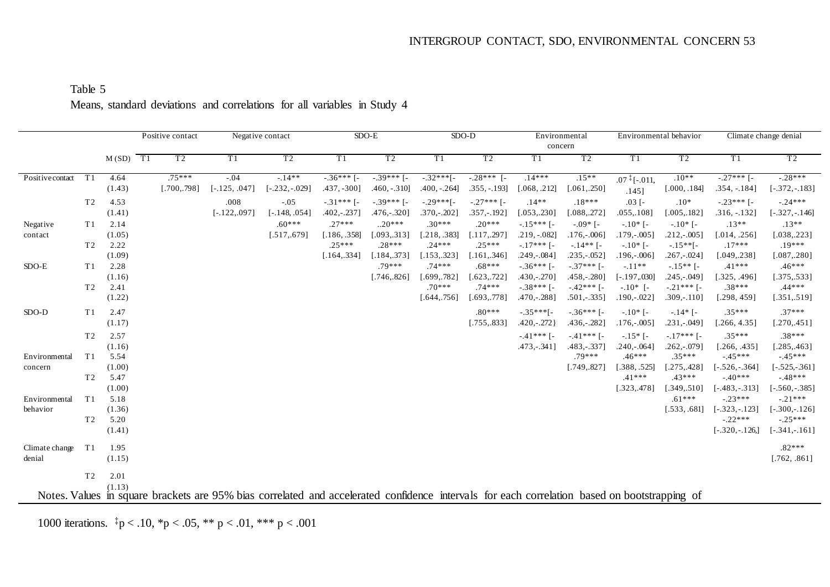|                  |                |            | Positive contact |                 | Negative contact                                                                                                                             |                | $SDO-E$        |                | $SDO-D$        | concern        | Environmental  |                    | Environmental behavior |                  | Climate change denial |
|------------------|----------------|------------|------------------|-----------------|----------------------------------------------------------------------------------------------------------------------------------------------|----------------|----------------|----------------|----------------|----------------|----------------|--------------------|------------------------|------------------|-----------------------|
|                  |                | $M(SD)$ T1 | T <sub>2</sub>   | T1              | T <sub>2</sub>                                                                                                                               | T1             | T <sub>2</sub> | T1             | T <sub>2</sub> | T1             | T <sub>2</sub> | T1                 | T <sub>2</sub>         | T1               | T <sub>2</sub>        |
| Positive contact | T1             | 4.64       | $.75***$         | $-.04$          | $-14**$                                                                                                                                      | $-36***$ [-    | $-.39***$ [-   | $-.32***$ [-   | $-.28***$ [-   | $.14***$       | $.15**$        | $.07 \div [-.011,$ | $.10**$                | $-.27***$ [-     | $-.28***$             |
|                  |                | (1.43)     | [.700, .798]     | $[-.125, .047]$ | $[-.232, -.029]$                                                                                                                             | $.437, -300$ ] | $.460, -.310]$ | $.400, -.264]$ | $.355, -.193]$ | [.068, .212]   | [.061, .250]   | .145]              | [.000, .184]           | $.354, -.184]$   | $[-.372, -.183]$      |
|                  | T <sub>2</sub> | 4.53       |                  | .008            | $-.05$                                                                                                                                       | $-.31***$ [-   | $-39***$ [-    | $-.29***$ [-   | $-.27***$ [-   | $.14**$        | $.18***$       | $.03$ [-           | $.10*$                 | $-.23***$ [-     | $-.24***$             |
|                  |                | (1.41)     |                  | $[-.122, .097]$ | $[-.148, .054]$                                                                                                                              | $.402,-.237]$  | $.476,-.320]$  | $.370,-.202]$  | $.357,-.192]$  | [.053, .230]   | [.088, .272]   | $.055, .108$ ]     | [.005, .182]           | $.316, -.132]$   | $[-.327, -.146]$      |
| Negative         | T1             | 2.14       |                  |                 | $.60***$                                                                                                                                     | $.27***$       | $.20***$       | $.30***$       | $.20***$       | $-15***$ [-    | $-09*$ [-      | $-.10*$ [-         | $-.10*$ [-             | $.13**$          | $.13**$               |
| contact          |                | (1.05)     |                  |                 | [.517, .679]                                                                                                                                 | $.186, .358$ ] | [.093, .313]   | [.218, .383]   | .117, .297     | $.219, -.082$  | $.176,-.006$ ] | $.179,-.005$ ]     | $.212,-.005$           | [.014, .256]     | [.038, .223]          |
|                  | T <sub>2</sub> | 2.22       |                  |                 |                                                                                                                                              | $.25***$       | $.28***$       | $.24***$       | $.25***$       | $-17***$ [-    | $-14**$ [-     | $-.10*$ [-         | $-15**$ [-             | $.17***$         | $.19***$              |
|                  |                | (1.09)     |                  |                 |                                                                                                                                              | [.164, .334]   | [.184, .373]   | [.153, .323]   | .161, .346     | $.249,-.084]$  | $.235,-.052]$  | $.196,-.006$       | $.267,-.024$           | [.049, .238]     | [.087, .280]          |
| $SDO-E$          | T1             | 2.28       |                  |                 |                                                                                                                                              |                | $.79***$       | $.74***$       | $.68***$       | $-36***$ [-    | $-37***$ [-    | $-.11**$           | $-.15**$ [-            | $.41***$         | $.46***$              |
|                  |                | (1.16)     |                  |                 |                                                                                                                                              |                | [.746, .826]   | [.699, .782]   | .623, .722]    | $.430,-.270]$  | $.458,-.280]$  | $[-.197, .030]$    | $.245,-.049$ ]         | [.325, .496]     | [.375, .533]          |
|                  | T <sub>2</sub> | 2.41       |                  |                 |                                                                                                                                              |                |                | $.70***$       | $.74***$       | $-.38***$ [-   | $-42***$ [-    | $-.10*$ [-         | $-.21***$ [-           | $.38***$         | $.44***$              |
|                  |                | (1.22)     |                  |                 |                                                                                                                                              |                |                | [.644, .756]   | .693, .778]    | $.470,-.288]$  | $.501,-.335$ ] | $.190,-.022]$      | $.309,-.110]$          | [.298, 459]      | [.351, .519]          |
| $SDO-D$          | T1             | 2.47       |                  |                 |                                                                                                                                              |                |                |                | $.80***$       | $-.35***$ [-   | $-.36***$ [-   | $-.10*$ [-         | $-14*$ [-              | $.35***$         | $.37***$              |
|                  |                | (1.17)     |                  |                 |                                                                                                                                              |                |                |                | [.755, .833]   | $.420,-.272$ } | $.436,-.282]$  | $.176,-.005$ ]     | $.231,-.049$ ]         | [.266, 4.35]     | [.270, .451]          |
|                  | T <sub>2</sub> | 2.57       |                  |                 |                                                                                                                                              |                |                |                |                | $-.41***$ [-   | $-41***$ [-    | $-.15*$ [-         | $-17***$ [-            | $.35***$         | $.38***$              |
|                  |                | (1.16)     |                  |                 |                                                                                                                                              |                |                |                |                | $.473,-.341]$  | $.483,-.337$ ] | $.240,-.064]$      | $.262,-.079$ ]         | [.266, .435]     | [.285, .463]          |
| Environmental    | T1             | 5.54       |                  |                 |                                                                                                                                              |                |                |                |                |                | $.79***$       | $.46***$           | $.35***$               | $-45***$         | $-45***$              |
| concern          |                | (1.00)     |                  |                 |                                                                                                                                              |                |                |                |                |                | [.749, .827]   | [.388, .525]       | [.275, .428]           | $-.526,-.364]$   | $[-.525, -.361]$      |
|                  | T <sub>2</sub> | 5.47       |                  |                 |                                                                                                                                              |                |                |                |                |                |                | $.41***$           | $.43***$               | $-40***$         | $-48***$              |
|                  |                | (1.00)     |                  |                 |                                                                                                                                              |                |                |                |                |                |                | [.323, .478]       | [.349, .510]           | $-483, -313$ ]   | $[-.560, -.385]$      |
| Environmental    | T1             | 5.18       |                  |                 |                                                                                                                                              |                |                |                |                |                |                |                    | $.61***$               | $-.23***$        | $-.21***$             |
| behavior         |                | (1.36)     |                  |                 |                                                                                                                                              |                |                |                |                |                |                |                    | [.533, .681]           | $-.323,-.123]$   | $[-.300,-.126]$       |
|                  | T <sub>2</sub> | 5.20       |                  |                 |                                                                                                                                              |                |                |                |                |                |                |                    |                        | $-.22***$        | $-.25***$             |
|                  |                | (1.41)     |                  |                 |                                                                                                                                              |                |                |                |                |                |                |                    |                        | $[-.320, -.126]$ | $[-.341,-.161]$       |
| Climate change   | T1             | 1.95       |                  |                 |                                                                                                                                              |                |                |                |                |                |                |                    |                        |                  | $.82***$              |
| denial           |                | (1.15)     |                  |                 |                                                                                                                                              |                |                |                |                |                |                |                    |                        |                  | [.762, .861]          |
|                  | T <sub>2</sub> | 2.01       |                  |                 |                                                                                                                                              |                |                |                |                |                |                |                    |                        |                  |                       |
|                  |                | (1.13)     |                  |                 |                                                                                                                                              |                |                |                |                |                |                |                    |                        |                  |                       |
|                  |                |            |                  |                 | Notes. Values in square brackets are 95% bias correlated and accelerated confidence intervals for each correlation based on bootstrapping of |                |                |                |                |                |                |                    |                        |                  |                       |

### Table 5 Means, standard deviations and correlations for all variables in Study 4

1000 iterations.  $\frac{1}{4}p < .10, \frac{1}{4}p < .05, \frac{1}{4}p < .01, \frac{1}{4}p < .001$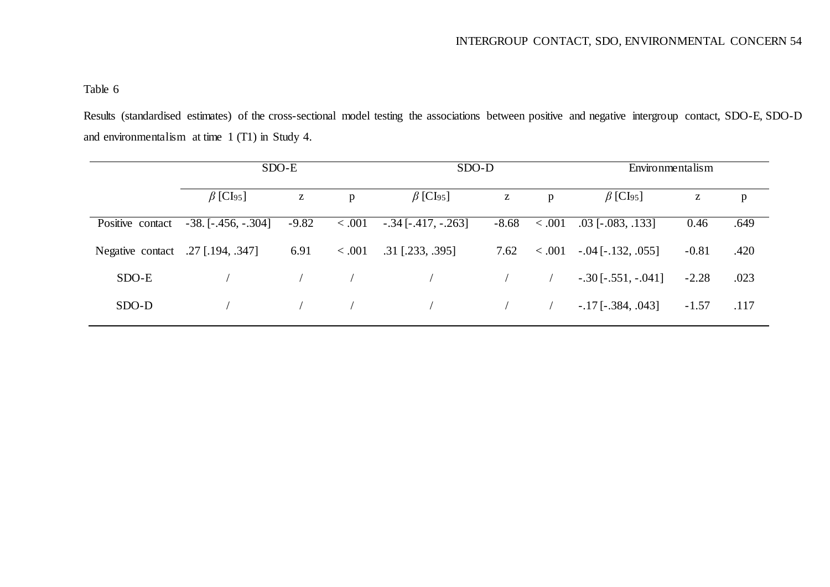Results (standardised estimates) of the cross-sectional model testing the associations between positive and negative intergroup contact, SDO-E, SDO-D and environmentalism at time 1 (T1) in Study 4.

|                                   |                             | SDO-E                                                 |         | SDO-D                       |            |         | Environmentalism            |         |      |  |
|-----------------------------------|-----------------------------|-------------------------------------------------------|---------|-----------------------------|------------|---------|-----------------------------|---------|------|--|
|                                   | $\beta$ [CI <sub>95</sub> ] | $\mathbf{Z}% ^{T}=\mathbf{Z}^{T}\times\mathbf{Z}^{T}$ | p       | $\beta$ [CI <sub>95</sub> ] | Z          | p       | $\beta$ [CI <sub>95</sub> ] | Z       | p    |  |
| Positive contact                  | $-38.[-.456, -.304]$        | $-9.82$                                               | < 0.001 | $-.34$ [ $-.417, -.263$ ]   | $-8.68$    | < 0.001 | $.03$ [ $-.083, .133$ ]     | 0.46    | .649 |  |
| Negative contact .27 [.194, .347] |                             | 6.91                                                  | < .001  | $.31$ [.233, .395]          | 7.62       | <.001   | $-.04$ [ $-.132, .055$ ]    | $-0.81$ | .420 |  |
| SDO-E                             |                             |                                                       |         |                             |            |         | $-.30$ [ $-.551, -.041$ ]   | $-2.28$ | .023 |  |
| SDO-D                             |                             |                                                       |         |                             | $\sqrt{2}$ |         | $-.17$ [ $-.384, .043$ ]    | $-1.57$ | .117 |  |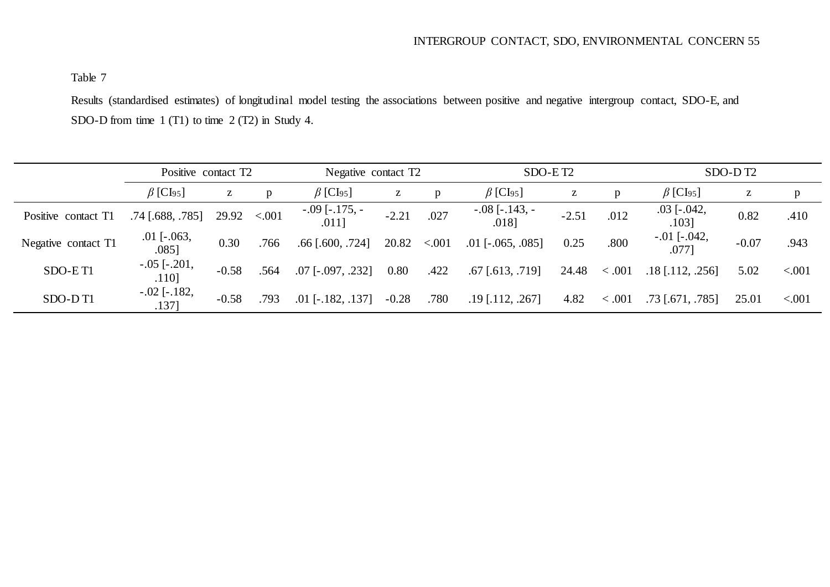Results (standardised estimates) of longitudinal model testing the associations between positive and negative intergroup contact, SDO-E, and SDO-D from time 1 (T1) to time 2 (T2) in Study 4.

|                     | Positive contact T2         |         |         |                                 | Negative contact T2 |        |                              | SDO-ET <sub>2</sub> |        |                             | SDO-DT <sub>2</sub> |          |  |
|---------------------|-----------------------------|---------|---------|---------------------------------|---------------------|--------|------------------------------|---------------------|--------|-----------------------------|---------------------|----------|--|
|                     | $\beta$ [CI <sub>95</sub> ] | Z       | p       | $\beta$ [CI <sub>95</sub> ]     | Z                   | p      | $\beta$ [CI <sub>95</sub> ]  | z                   | p      | $\beta$ [CI <sub>95</sub> ] | Z                   | p        |  |
| Positive contact T1 | $.74$ [.688, .785]          | 29.92   | < 0.001 | $-0.09$ [ $-0.175$ , $-0.011$ ] | $-2.21$             | .027   | $-.08$ [ $-.143, -$<br>.0181 | $-2.51$             | .012   | $.03$ [ $-.042$ ,<br>.1031  | 0.82                | .410     |  |
| Negative contact T1 | $.01$ [ $-.063$ ,<br>.0851  | 0.30    | .766    | $.66$ [ $.600, .724$ ]          | 20.82               | < .001 | $.01$ [ $-.065, .085$ ]      | 0.25                | .800   | $-.01$ [ $-.042$ ,<br>.0771 | $-0.07$             | .943     |  |
| SDO-ET1             | $-.05$ [ $-.201$ ,<br>.1101 | $-0.58$ | .564    | $.07$ [ $-.097, .232$ ]         | 0.80                | .422   | $.67$ [ $.613$ , $.719$ ]    | 24.48               | < .001 | $.18$ [.112, .256]          | 5.02                | < 0.001  |  |
| SDO-DT1             | $-.02$ [ $-.182$ ,<br>1371  | $-0.58$ | .793    | $.01$ [ $-.182, .137$ ]         | $-0.28$             | .780   | $.19$ [.112, .267]           | 4.82                | < .001 | $.73$ [.671, .785]          | 25.01               | ${<}001$ |  |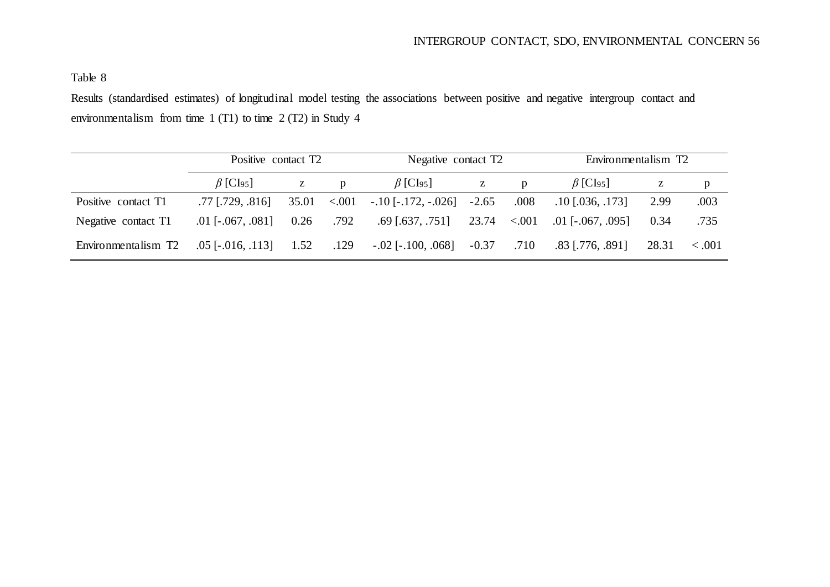Results (standardised estimates) of longitudinal model testing the associations between positive and negative intergroup contact and environmentalism from time 1 (T1) to time 2 (T2) in Study 4

|                     | Positive contact T2         |       |              | Negative contact T2         |         |              | Environmentalism T2         |       |             |  |
|---------------------|-----------------------------|-------|--------------|-----------------------------|---------|--------------|-----------------------------|-------|-------------|--|
|                     | $\beta$ [CI <sub>95</sub> ] | Z     | $\mathbf{D}$ | $\beta$ [CI <sub>95</sub> ] | Z       | $\mathbf{p}$ | $\beta$ [CI <sub>95</sub> ] | Z     | p           |  |
| Positive contact T1 | $.77$ [.729, .816]          | 35.01 | < 0.001      | $-.10$ [ $-.172, -.026$ ]   | $-2.65$ | .008         | $.10$ [.036, .173]          | 2.99  | .003        |  |
| Negative contact T1 | $.01$ [ $-.067, .081$ ]     | 0.26  | .792         | $.69$ [.637, .751]          | 23.74   | < 0.001      | $.01$ [ $-.067, .095$ ]     | 0.34  | .735        |  |
| Environmentalism T2 | $.05$ [ $-.016, .113$ ]     | 1.52  | .129         | $-.02$ [ $-.100, .068$ ]    | $-0.37$ | .710         | $.83$ [.776, .891]          | 28.31 | $\leq .001$ |  |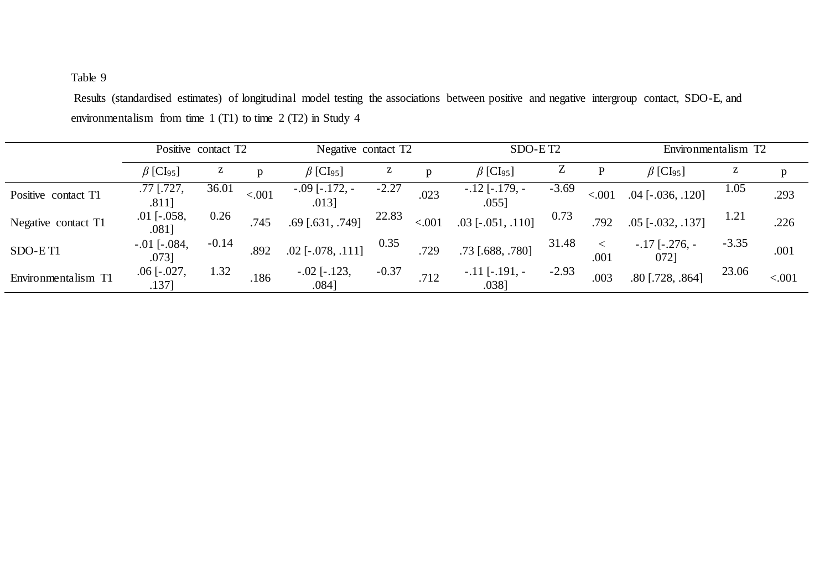Results (standardised estimates) of longitudinal model testing the associations between positive and negative intergroup contact, SDO-E, and environmentalism from time 1 (T1) to time 2 (T2) in Study 4

|                     | Positive contact T2         |         |        |                             | Negative contact T2 |              |                              | SDO-ET <sub>2</sub> |        |                              | Environmentalism T2 |        |  |
|---------------------|-----------------------------|---------|--------|-----------------------------|---------------------|--------------|------------------------------|---------------------|--------|------------------------------|---------------------|--------|--|
|                     | $\beta$ [CI <sub>95</sub> ] | Z       | D      | $\beta$ [CI <sub>95</sub> ] |                     | $\mathbf{D}$ | $\beta$ [CI <sub>95</sub> ]  | Z                   |        | $\beta$ [CI <sub>95</sub> ]  | z                   | p      |  |
| Positive contact T1 | .77 [.727,<br>.811]         | 36.01   | < .001 | $-.09$ [-.172, -<br>.0131   | $-2.27$             | .023         | $-.12$ [ $-.179, -$<br>.0551 | $-3.69$             | < .001 | $.04$ [ $-.036, .120$ ]      | 1.05                | .293   |  |
| Negative contact T1 | $.01$ [ $-.058$ ,<br>.0811  | 0.26    | .745   | $.69$ [ $.631, .749$ ]      | 22.83               | < .001       | $.03$ [ $-.051, .110$ ]      | 0.73                | .792   | $.05$ [ $-.032, .137$ ]      | 1.21                | .226   |  |
| SDO-ET1             | $-.01$ [ $-.084$ ,<br>.0731 | $-0.14$ | .892   | $.02$ [ $-.078, .111$ ]     | 0.35                | .729         | .73 [.688, .780]             | 31.48               | .001   | $-17$ [ $-276$ , $-$<br>0721 | $-3.35$             | .001   |  |
| Environmentalism T1 | $.06$ [ $-.027$ ,<br>.1371  | 1.32    | .186   | $-.02$ [ $-.123$ ,<br>.0841 | $-0.37$             | .712         | $-.11$ [ $-.191, -$<br>.0381 | $-2.93$             | .003   | $.80$ [.728, .864]           | 23.06               | < .001 |  |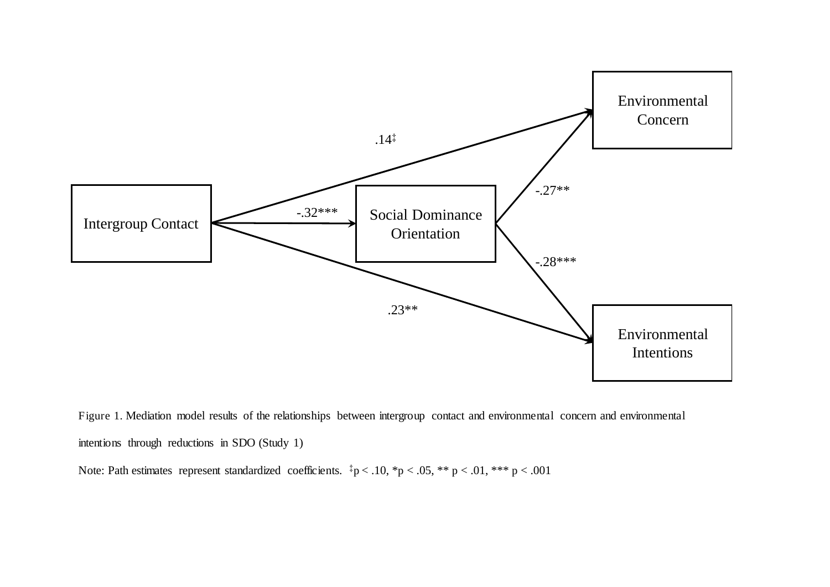

Figure 1. Mediation model results of the relationships between intergroup contact and environmental concern and environmental intentions through reductions in SDO (Study 1)

Note: Path estimates represent standardized coefficients.  $\frac{1}{4}p < .10$ ,  $\frac{1}{2}p < .05$ ,  $\frac{1}{4}p < .01$ ,  $\frac{1}{4}p < .001$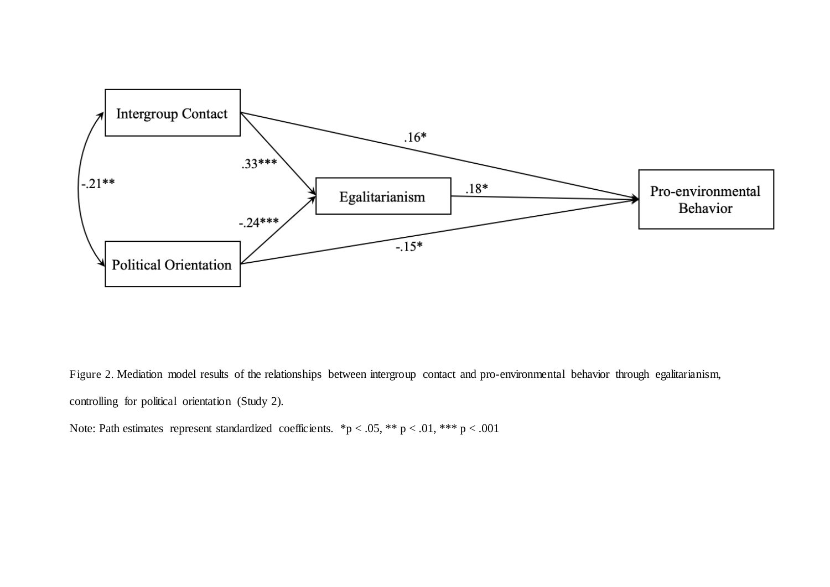

Figure 2. Mediation model results of the relationships between intergroup contact and pro-environmental behavior through egalitarianism, controlling for political orientation (Study 2).

Note: Path estimates represent standardized coefficients. \*p < .05, \*\* p < .01, \*\*\* p < .001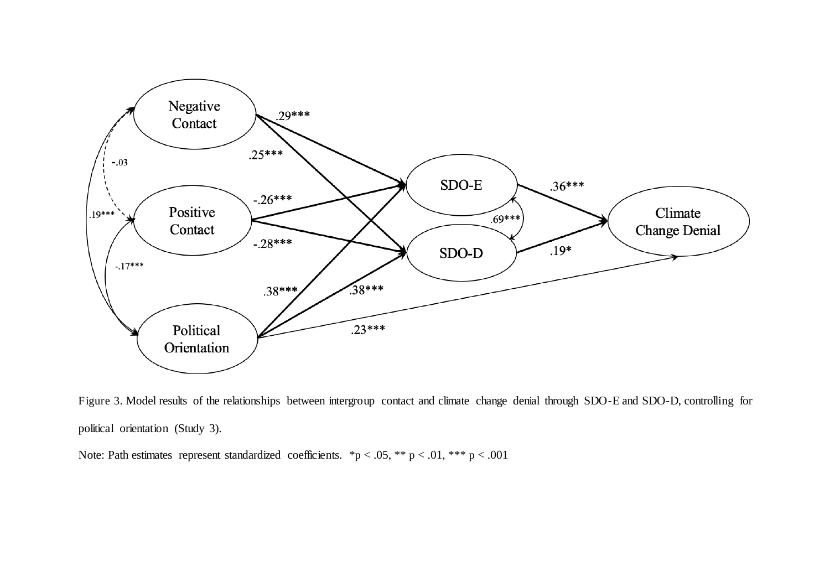

Figure 3. Model results of the relationships between intergroup contact and climate change denial through SDO-E and SDO-D, controlling for political orientation (Study 3).

Note: Path estimates represent standardized coefficients. \*p < .05, \*\* p < .01, \*\*\* p < .001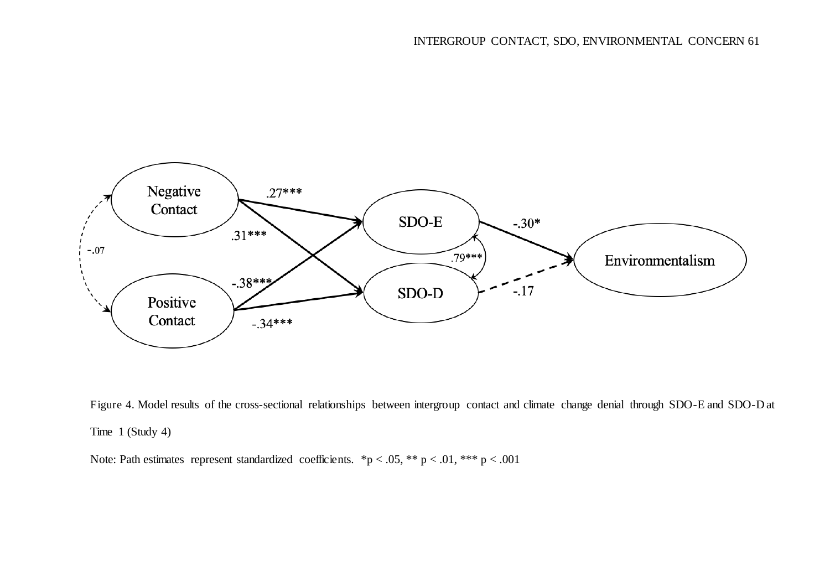

Figure 4. Model results of the cross-sectional relationships between intergroup contact and climate change denial through SDO-E and SDO-D at Time 1 (Study 4)

Note: Path estimates represent standardized coefficients. \*p < .05, \*\* p < .01, \*\*\* p < .001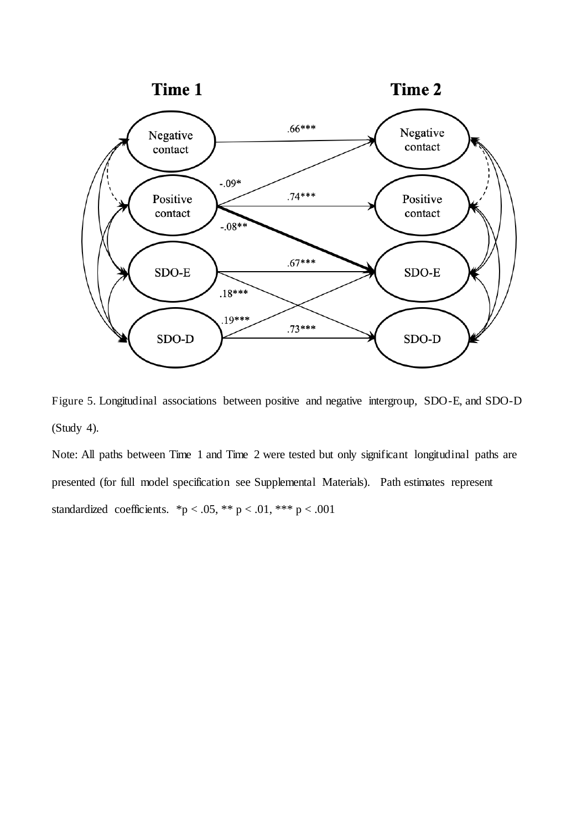

Figure 5. Longitudinal associations between positive and negative intergroup, SDO-E, and SDO-D (Study 4).

Note: All paths between Time 1 and Time 2 were tested but only significant longitudinal paths are presented (for full model specification see Supplemental Materials). Path estimates represent standardized coefficients. \*p < .05, \*\* p < .01, \*\*\* p < .001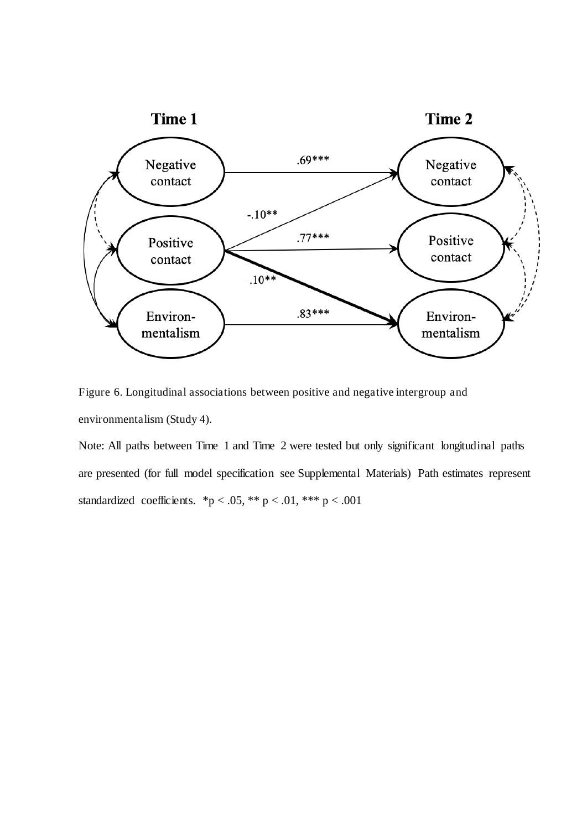

Figure 6. Longitudinal associations between positive and negative intergroup and environmentalism (Study 4).

Note: All paths between Time 1 and Time 2 were tested but only significant longitudinal paths are presented (for full model specification see Supplemental Materials) Path estimates represent standardized coefficients. \*p < .05, \*\* p < .01, \*\*\* p < .001